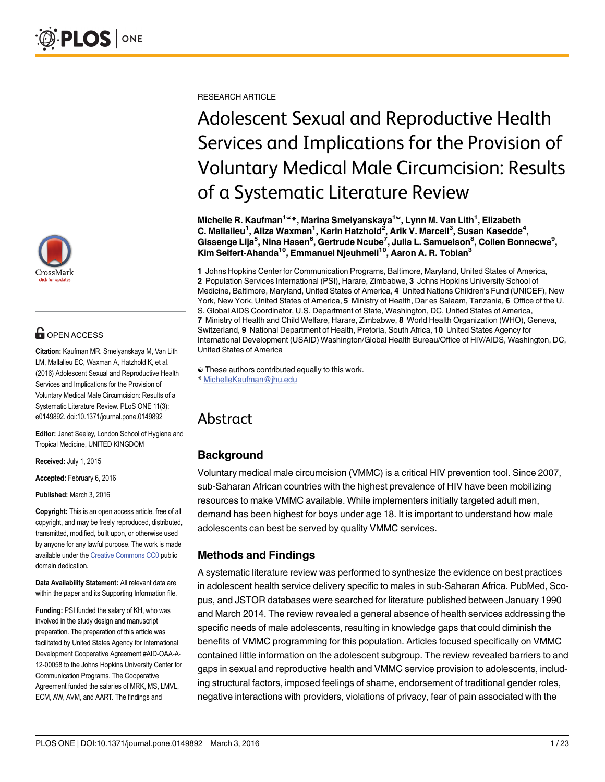

# **OPEN ACCESS**

Citation: Kaufman MR, Smelyanskaya M, Van Lith LM, Mallalieu EC, Waxman A, Hatzhold K, et al. (2016) Adolescent Sexual and Reproductive Health Services and Implications for the Provision of Voluntary Medical Male Circumcision: Results of a Systematic Literature Review. PLoS ONE 11(3): e0149892. doi:10.1371/journal.pone.0149892

Editor: Janet Seeley, London School of Hygiene and Tropical Medicine, UNITED KINGDOM

Received: July 1, 2015

Accepted: February 6, 2016

Published: March 3, 2016

Copyright: This is an open access article, free of all copyright, and may be freely reproduced, distributed, transmitted, modified, built upon, or otherwise used by anyone for any lawful purpose. The work is made available under the [Creative Commons CC0](https://creativecommons.org/publicdomain/zero/1.0/) public domain dedication.

Data Availability Statement: All relevant data are within the paper and its Supporting Information file.

Funding: PSI funded the salary of KH, who was involved in the study design and manuscript preparation. The preparation of this article was facilitated by United States Agency for International Development Cooperative Agreement #AID-OAA-A-12-00058 to the Johns Hopkins University Center for Communication Programs. The Cooperative Agreement funded the salaries of MRK, MS, LMVL, ECM, AW, AVM, and AART. The findings and

RESEARCH ARTICLE

# Adolescent Sexual and Reproductive Health Services and Implications for the Provision of Voluntary Medical Male Circumcision: Results of a Systematic Literature Review

Michelle R. Kaufman<sup>1ଢ</sup>\*, Marina Smelyanskaya<sup>1ଢ</sup>, Lynn M. Van Lith<sup>1</sup>, Elizabeth C. Mallalieu<sup>1</sup>, Aliza Waxman<sup>1</sup>, Karin Hatzhold<sup>2</sup>, Arik V. Marcell<sup>3</sup>, Susan Kasedde<sup>4</sup>, Gissenge Lija<sup>5</sup>, Nina Hasen<sup>6</sup>, Gertrude Ncube<sup>7</sup>, Julia L. Samuelson<sup>8</sup>, Collen Bonnecwe<sup>9</sup>, Kim Seifert-Ahanda<sup>10</sup>, Emmanuel Njeuhmeli<sup>10</sup>, Aaron A. R. Tobian<sup>3</sup>

1 Johns Hopkins Center for Communication Programs, Baltimore, Maryland, United States of America, 2 Population Services International (PSI), Harare, Zimbabwe, 3 Johns Hopkins University School of Medicine, Baltimore, Maryland, United States of America, 4 United Nations Children's Fund (UNICEF), New York, New York, United States of America, 5 Ministry of Health, Dar es Salaam, Tanzania, 6 Office of the U. S. Global AIDS Coordinator, U.S. Department of State, Washington, DC, United States of America, 7 Ministry of Health and Child Welfare, Harare, Zimbabwe, 8 World Health Organization (WHO), Geneva, Switzerland, 9 National Department of Health, Pretoria, South Africa, 10 United States Agency for International Development (USAID) Washington/Global Health Bureau/Office of HIV/AIDS, Washington, DC, United States of America

☯ These authors contributed equally to this work.

\* MichelleKaufman@jhu.edu

# Abstract

# **Background**

Voluntary medical male circumcision (VMMC) is a critical HIV prevention tool. Since 2007, sub-Saharan African countries with the highest prevalence of HIV have been mobilizing resources to make VMMC available. While implementers initially targeted adult men, demand has been highest for boys under age 18. It is important to understand how male adolescents can best be served by quality VMMC services.

# Methods and Findings

A systematic literature review was performed to synthesize the evidence on best practices in adolescent health service delivery specific to males in sub-Saharan Africa. PubMed, Scopus, and JSTOR databases were searched for literature published between January 1990 and March 2014. The review revealed a general absence of health services addressing the specific needs of male adolescents, resulting in knowledge gaps that could diminish the benefits of VMMC programming for this population. Articles focused specifically on VMMC contained little information on the adolescent subgroup. The review revealed barriers to and gaps in sexual and reproductive health and VMMC service provision to adolescents, including structural factors, imposed feelings of shame, endorsement of traditional gender roles, negative interactions with providers, violations of privacy, fear of pain associated with the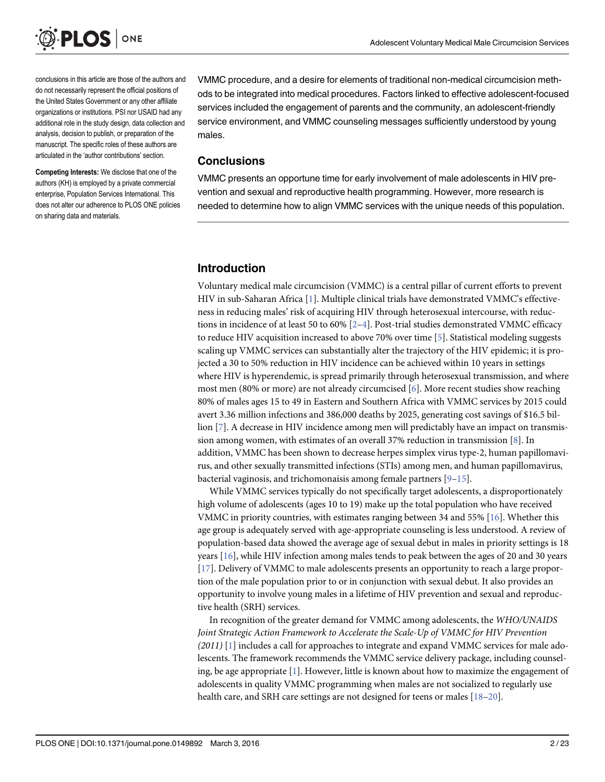<span id="page-1-0"></span>

conclusions in this article are those of the authors and do not necessarily represent the official positions of the United States Government or any other affiliate organizations or institutions. PSI nor USAID had any additional role in the study design, data collection and analysis, decision to publish, or preparation of the manuscript. The specific roles of these authors are articulated in the 'author contributions' section.

Competing Interests: We disclose that one of the authors (KH) is employed by a private commercial enterprise, Population Services International. This does not alter our adherence to PLOS ONE policies on sharing data and materials.

VMMC procedure, and a desire for elements of traditional non-medical circumcision methods to be integrated into medical procedures. Factors linked to effective adolescent-focused services included the engagement of parents and the community, an adolescent-friendly service environment, and VMMC counseling messages sufficiently understood by young males.

### **Conclusions**

VMMC presents an opportune time for early involvement of male adolescents in HIV prevention and sexual and reproductive health programming. However, more research is needed to determine how to align VMMC services with the unique needs of this population.

# Introduction

Voluntary medical male circumcision (VMMC) is a central pillar of current efforts to prevent HIV in sub-Saharan Africa [\[1](#page-17-0)]. Multiple clinical trials have demonstrated VMMC's effectiveness in reducing males' risk of acquiring HIV through heterosexual intercourse, with reductions in incidence of at least 50 to 60%  $[2-4]$  $[2-4]$  $[2-4]$  $[2-4]$  $[2-4]$ . Post-trial studies demonstrated VMMC efficacy to reduce HIV acquisition increased to above 70% over time [[5\]](#page-17-0). Statistical modeling suggests scaling up VMMC services can substantially alter the trajectory of the HIV epidemic; it is projected a 30 to 50% reduction in HIV incidence can be achieved within 10 years in settings where HIV is hyperendemic, is spread primarily through heterosexual transmission, and where most men (80% or more) are not already circumcised  $[6]$  $[6]$  $[6]$ . More recent studies show reaching 80% of males ages 15 to 49 in Eastern and Southern Africa with VMMC services by 2015 could avert 3.36 million infections and 386,000 deaths by 2025, generating cost savings of \$16.5 billion [\[7\]](#page-17-0). A decrease in HIV incidence among men will predictably have an impact on transmission among women, with estimates of an overall 37% reduction in transmission [[8](#page-17-0)]. In addition, VMMC has been shown to decrease herpes simplex virus type-2, human papillomavirus, and other sexually transmitted infections (STIs) among men, and human papillomavirus, bacterial vaginosis, and trichomonaisis among female partners [[9](#page-17-0)–[15](#page-18-0)].

While VMMC services typically do not specifically target adolescents, a disproportionately high volume of adolescents (ages 10 to 19) make up the total population who have received VMMC in priority countries, with estimates ranging between 34 and 55% [\[16\]](#page-18-0). Whether this age group is adequately served with age-appropriate counseling is less understood. A review of population-based data showed the average age of sexual debut in males in priority settings is 18 years [\[16\]](#page-18-0), while HIV infection among males tends to peak between the ages of 20 and 30 years [\[17](#page-18-0)]. Delivery of VMMC to male adolescents presents an opportunity to reach a large proportion of the male population prior to or in conjunction with sexual debut. It also provides an opportunity to involve young males in a lifetime of HIV prevention and sexual and reproductive health (SRH) services.

In recognition of the greater demand for VMMC among adolescents, the WHO/UNAIDS Joint Strategic Action Framework to Accelerate the Scale-Up of VMMC for HIV Prevention  $(2011)$  [[1\]](#page-17-0) includes a call for approaches to integrate and expand VMMC services for male adolescents. The framework recommends the VMMC service delivery package, including counseling, be age appropriate [[1\]](#page-17-0). However, little is known about how to maximize the engagement of adolescents in quality VMMC programming when males are not socialized to regularly use health care, and SRH care settings are not designed for teens or males [\[18](#page-18-0)–[20\]](#page-18-0).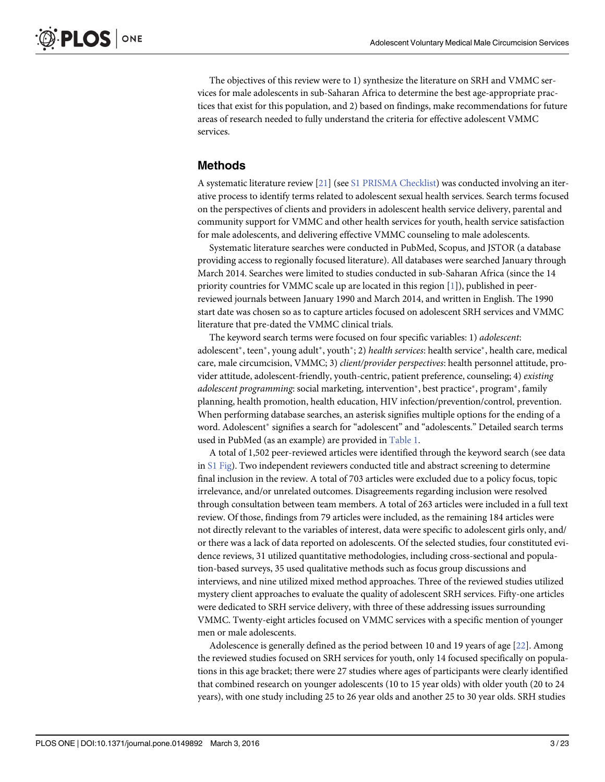<span id="page-2-0"></span>The objectives of this review were to 1) synthesize the literature on SRH and VMMC services for male adolescents in sub-Saharan Africa to determine the best age-appropriate practices that exist for this population, and 2) based on findings, make recommendations for future areas of research needed to fully understand the criteria for effective adolescent VMMC services.

## Methods

A systematic literature review [[21](#page-18-0)] (see [S1 PRISMA Checklist](#page-16-0)) was conducted involving an iterative process to identify terms related to adolescent sexual health services. Search terms focused on the perspectives of clients and providers in adolescent health service delivery, parental and community support for VMMC and other health services for youth, health service satisfaction for male adolescents, and delivering effective VMMC counseling to male adolescents.

Systematic literature searches were conducted in PubMed, Scopus, and JSTOR (a database providing access to regionally focused literature). All databases were searched January through March 2014. Searches were limited to studies conducted in sub-Saharan Africa (since the 14 priority countries for VMMC scale up are located in this region  $[1]$  $[1]$ ), published in peerreviewed journals between January 1990 and March 2014, and written in English. The 1990 start date was chosen so as to capture articles focused on adolescent SRH services and VMMC literature that pre-dated the VMMC clinical trials.

The keyword search terms were focused on four specific variables: 1) adolescent: adolescent\*, teen\*, young adult\*, youth\*; 2) health services: health service\*, health care, medical care, male circumcision, VMMC; 3) client/provider perspectives: health personnel attitude, provider attitude, adolescent-friendly, youth-centric, patient preference, counseling; 4) existing *adolescent programming*: social marketing, intervention<sup>\*</sup>, best practice<sup>\*</sup>, program<sup>\*</sup>, family planning, health promotion, health education, HIV infection/prevention/control, prevention. When performing database searches, an asterisk signifies multiple options for the ending of a word. Adolescent<sup>\*</sup> signifies a search for "adolescent" and "adolescents." Detailed search terms used in PubMed (as an example) are provided in [Table 1](#page-3-0).

A total of 1,502 peer-reviewed articles were identified through the keyword search (see data in [S1 Fig](#page-16-0)). Two independent reviewers conducted title and abstract screening to determine final inclusion in the review. A total of 703 articles were excluded due to a policy focus, topic irrelevance, and/or unrelated outcomes. Disagreements regarding inclusion were resolved through consultation between team members. A total of 263 articles were included in a full text review. Of those, findings from 79 articles were included, as the remaining 184 articles were not directly relevant to the variables of interest, data were specific to adolescent girls only, and/ or there was a lack of data reported on adolescents. Of the selected studies, four constituted evidence reviews, 31 utilized quantitative methodologies, including cross-sectional and population-based surveys, 35 used qualitative methods such as focus group discussions and interviews, and nine utilized mixed method approaches. Three of the reviewed studies utilized mystery client approaches to evaluate the quality of adolescent SRH services. Fifty-one articles were dedicated to SRH service delivery, with three of these addressing issues surrounding VMMC. Twenty-eight articles focused on VMMC services with a specific mention of younger men or male adolescents.

Adolescence is generally defined as the period between 10 and 19 years of age  $[22]$  $[22]$  $[22]$ . Among the reviewed studies focused on SRH services for youth, only 14 focused specifically on populations in this age bracket; there were 27 studies where ages of participants were clearly identified that combined research on younger adolescents (10 to 15 year olds) with older youth (20 to 24 years), with one study including 25 to 26 year olds and another 25 to 30 year olds. SRH studies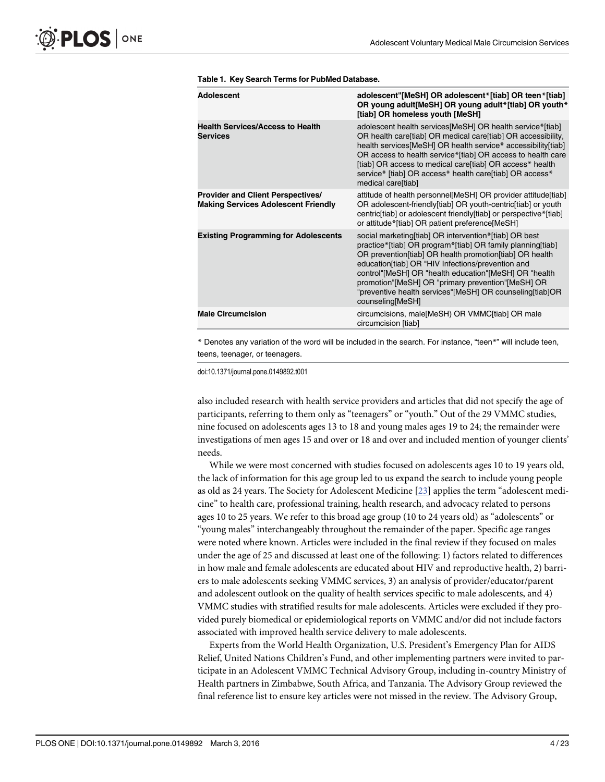| adolescent"[MeSH] OR adolescent*[tiab] OR teen*[tiab]<br>OR young adult[MeSH] OR young adult*[tiab] OR youth*<br>[tiab] OR homeless youth [MeSH]                                                                                                                                                                                                                                                                                  |
|-----------------------------------------------------------------------------------------------------------------------------------------------------------------------------------------------------------------------------------------------------------------------------------------------------------------------------------------------------------------------------------------------------------------------------------|
| adolescent health services [MeSH] OR health service* [tiab]<br>OR health care[tiab] OR medical care[tiab] OR accessibility,<br>health services[MeSH] OR health service* accessibility[tiab]<br>OR access to health service*[tiab] OR access to health care<br>[tiab] OR access to medical care[tiab] OR access* health<br>service* [tiab] OR access* health care[tiab] OR access*<br>medical care[tiab]                           |
| attitude of health personnel[MeSH] OR provider attitude[tiab]<br>OR adolescent-friendly[tiab] OR youth-centric[tiab] or youth<br>centric[tiab] or adolescent friendly[tiab] or perspective*[tiab]<br>or attitude*[tiab] OR patient preference[MeSH]                                                                                                                                                                               |
| social marketing[tiab] OR intervention*[tiab] OR best<br>practice*[tiab] OR program*[tiab] OR family planning[tiab]<br>OR prevention[tiab] OR health promotion[tiab] OR health<br>education[tiab] OR "HIV Infections/prevention and<br>control"[MeSH] OR "health education"[MeSH] OR "health<br>promotion"[MeSH] OR "primary prevention"[MeSH] OR<br>"preventive health services"[MeSH] OR counseling[tiab]OR<br>counseling[MeSH] |
| circumcisions, male [MeSH] OR VMMC[tiab] OR male<br>circumcision [tiab]                                                                                                                                                                                                                                                                                                                                                           |
|                                                                                                                                                                                                                                                                                                                                                                                                                                   |

#### <span id="page-3-0"></span>[Table 1.](#page-2-0) Key Search Terms for PubMed Database.

\* Denotes any variation of the word will be included in the search. For instance, "teen\*" will include teen, teens, teenager, or teenagers.

doi:10.1371/journal.pone.0149892.t001

also included research with health service providers and articles that did not specify the age of participants, referring to them only as "teenagers" or "youth." Out of the 29 VMMC studies, nine focused on adolescents ages 13 to 18 and young males ages 19 to 24; the remainder were investigations of men ages 15 and over or 18 and over and included mention of younger clients' needs.

While we were most concerned with studies focused on adolescents ages 10 to 19 years old, the lack of information for this age group led to us expand the search to include young people as old as 24 years. The Society for Adolescent Medicine [\[23\]](#page-18-0) applies the term "adolescent medicine" to health care, professional training, health research, and advocacy related to persons ages 10 to 25 years. We refer to this broad age group (10 to 24 years old) as "adolescents" or "young males" interchangeably throughout the remainder of the paper. Specific age ranges were noted where known. Articles were included in the final review if they focused on males under the age of 25 and discussed at least one of the following: 1) factors related to differences in how male and female adolescents are educated about HIV and reproductive health, 2) barriers to male adolescents seeking VMMC services, 3) an analysis of provider/educator/parent and adolescent outlook on the quality of health services specific to male adolescents, and 4) VMMC studies with stratified results for male adolescents. Articles were excluded if they provided purely biomedical or epidemiological reports on VMMC and/or did not include factors associated with improved health service delivery to male adolescents.

Experts from the World Health Organization, U.S. President's Emergency Plan for AIDS Relief, United Nations Children's Fund, and other implementing partners were invited to participate in an Adolescent VMMC Technical Advisory Group, including in-country Ministry of Health partners in Zimbabwe, South Africa, and Tanzania. The Advisory Group reviewed the final reference list to ensure key articles were not missed in the review. The Advisory Group,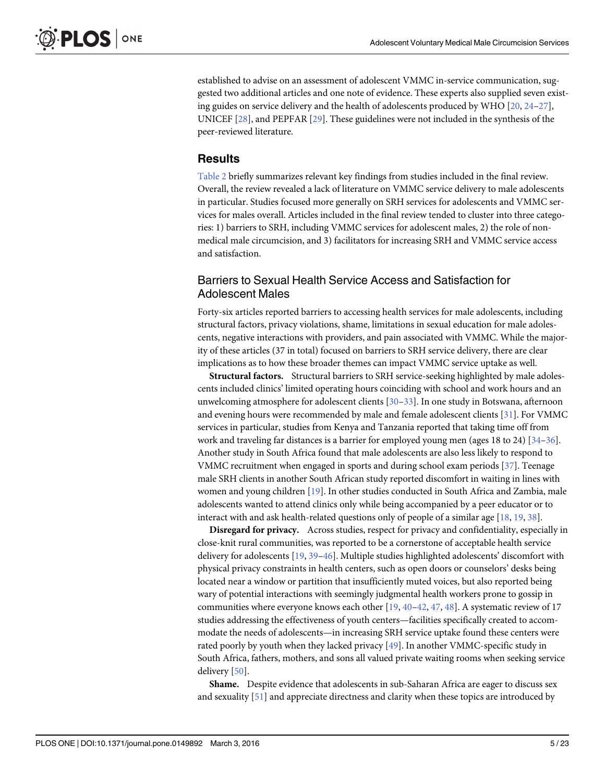<span id="page-4-0"></span>established to advise on an assessment of adolescent VMMC in-service communication, suggested two additional articles and one note of evidence. These experts also supplied seven existing guides on service delivery and the health of adolescents produced by WHO  $[20, 24-27]$  $[20, 24-27]$  $[20, 24-27]$  $[20, 24-27]$  $[20, 24-27]$  $[20, 24-27]$ , UNICEF [\[28\]](#page-18-0), and PEPFAR [[29](#page-18-0)]. These guidelines were not included in the synthesis of the peer-reviewed literature.

# **Results**

[Table 2](#page-5-0) briefly summarizes relevant key findings from studies included in the final review. Overall, the review revealed a lack of literature on VMMC service delivery to male adolescents in particular. Studies focused more generally on SRH services for adolescents and VMMC services for males overall. Articles included in the final review tended to cluster into three categories: 1) barriers to SRH, including VMMC services for adolescent males, 2) the role of nonmedical male circumcision, and 3) facilitators for increasing SRH and VMMC service access and satisfaction.

# Barriers to Sexual Health Service Access and Satisfaction for Adolescent Males

Forty-six articles reported barriers to accessing health services for male adolescents, including structural factors, privacy violations, shame, limitations in sexual education for male adolescents, negative interactions with providers, and pain associated with VMMC. While the majority of these articles (37 in total) focused on barriers to SRH service delivery, there are clear implications as to how these broader themes can impact VMMC service uptake as well.

Structural factors. Structural barriers to SRH service-seeking highlighted by male adolescents included clinics' limited operating hours coinciding with school and work hours and an unwelcoming atmosphere for adolescent clients [[30](#page-18-0)–[33](#page-18-0)]. In one study in Botswana, afternoon and evening hours were recommended by male and female adolescent clients [[31\]](#page-18-0). For VMMC services in particular, studies from Kenya and Tanzania reported that taking time off from work and traveling far distances is a barrier for employed young men (ages 18 to 24) [[34](#page-18-0)–[36](#page-19-0)]. Another study in South Africa found that male adolescents are also less likely to respond to VMMC recruitment when engaged in sports and during school exam periods [[37](#page-19-0)]. Teenage male SRH clients in another South African study reported discomfort in waiting in lines with women and young children [[19](#page-18-0)]. In other studies conducted in South Africa and Zambia, male adolescents wanted to attend clinics only while being accompanied by a peer educator or to interact with and ask health-related questions only of people of a similar age [\[18,](#page-18-0) [19,](#page-18-0) [38\]](#page-19-0).

Disregard for privacy. Across studies, respect for privacy and confidentiality, especially in close-knit rural communities, was reported to be a cornerstone of acceptable health service delivery for adolescents [\[19](#page-18-0), [39](#page-19-0)–[46\]](#page-19-0). Multiple studies highlighted adolescents' discomfort with physical privacy constraints in health centers, such as open doors or counselors' desks being located near a window or partition that insufficiently muted voices, but also reported being wary of potential interactions with seemingly judgmental health workers prone to gossip in communities where everyone knows each other [[19](#page-18-0), [40](#page-19-0)–[42,](#page-19-0) [47,](#page-19-0) [48\]](#page-19-0). A systematic review of 17 studies addressing the effectiveness of youth centers—facilities specifically created to accommodate the needs of adolescents—in increasing SRH service uptake found these centers were rated poorly by youth when they lacked privacy [[49](#page-19-0)]. In another VMMC-specific study in South Africa, fathers, mothers, and sons all valued private waiting rooms when seeking service delivery [\[50\]](#page-19-0).

Shame. Despite evidence that adolescents in sub-Saharan Africa are eager to discuss sex and sexuality [[51](#page-19-0)] and appreciate directness and clarity when these topics are introduced by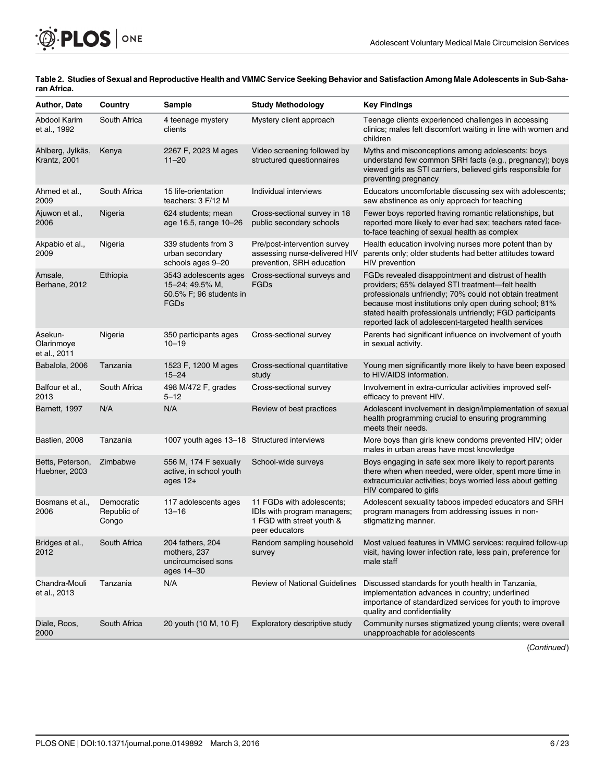# <span id="page-5-0"></span> $\mathcal{D}$  PLOS  $\vert$  one

|             | Table 2. Studies of Sexual and Reproductive Health and VMMC Service Seeking Behavior and Satisfaction Among Male Adolescents in Sub-Saha- |
|-------------|-------------------------------------------------------------------------------------------------------------------------------------------|
| ran Africa. |                                                                                                                                           |

| Author, Date                          | Country                            | Sample                                                                      | <b>Study Methodology</b>                                                                                | <b>Key Findings</b>                                                                                                                                                                                                                                                                                                                               |
|---------------------------------------|------------------------------------|-----------------------------------------------------------------------------|---------------------------------------------------------------------------------------------------------|---------------------------------------------------------------------------------------------------------------------------------------------------------------------------------------------------------------------------------------------------------------------------------------------------------------------------------------------------|
| Abdool Karim<br>et al., 1992          | South Africa                       | 4 teenage mystery<br>clients                                                | Mystery client approach                                                                                 | Teenage clients experienced challenges in accessing<br>clinics; males felt discomfort waiting in line with women and<br>children                                                                                                                                                                                                                  |
| Ahlberg, Jylkäs,<br>Krantz, 2001      | Kenya                              | 2267 F, 2023 M ages<br>$11 - 20$                                            | Video screening followed by<br>structured questionnaires                                                | Myths and misconceptions among adolescents: boys<br>understand few common SRH facts (e.g., pregnancy); boys<br>viewed girls as STI carriers, believed girls responsible for<br>preventing pregnancy                                                                                                                                               |
| Ahmed et al.,<br>2009                 | South Africa                       | 15 life-orientation<br>teachers: 3 F/12 M                                   | Individual interviews                                                                                   | Educators uncomfortable discussing sex with adolescents;<br>saw abstinence as only approach for teaching                                                                                                                                                                                                                                          |
| Ajuwon et al.,<br>2006                | Nigeria                            | 624 students; mean<br>age 16.5, range 10-26                                 | Cross-sectional survey in 18<br>public secondary schools                                                | Fewer boys reported having romantic relationships, but<br>reported more likely to ever had sex; teachers rated face-<br>to-face teaching of sexual health as complex                                                                                                                                                                              |
| Akpabio et al.,<br>2009               | Nigeria                            | 339 students from 3<br>urban secondary<br>schools ages 9-20                 | Pre/post-intervention survey<br>assessing nurse-delivered HIV<br>prevention, SRH education              | Health education involving nurses more potent than by<br>parents only; older students had better attitudes toward<br>HIV prevention                                                                                                                                                                                                               |
| Amsale,<br>Berhane, 2012              | Ethiopia                           | 3543 adolescents ages<br>15–24; 49.5% M,<br>50.5% F; 96 students in<br>FGDs | Cross-sectional surveys and<br>FGDs                                                                     | FGDs revealed disappointment and distrust of health<br>providers; 65% delayed STI treatment-felt health<br>professionals unfriendly; 70% could not obtain treatment<br>because most institutions only open during school; 81%<br>stated health professionals unfriendly; FGD participants<br>reported lack of adolescent-targeted health services |
| Asekun-<br>Olarinmoye<br>et al., 2011 | Nigeria                            | 350 participants ages<br>$10 - 19$                                          | Cross-sectional survey                                                                                  | Parents had significant influence on involvement of youth<br>in sexual activity.                                                                                                                                                                                                                                                                  |
| Babalola, 2006                        | Tanzania                           | 1523 F, 1200 M ages<br>$15 - 24$                                            | Cross-sectional quantitative<br>study                                                                   | Young men significantly more likely to have been exposed<br>to HIV/AIDS information.                                                                                                                                                                                                                                                              |
| Balfour et al.,<br>2013               | South Africa                       | 498 M/472 F, grades<br>$5 - 12$                                             | Cross-sectional survey                                                                                  | Involvement in extra-curricular activities improved self-<br>efficacy to prevent HIV.                                                                                                                                                                                                                                                             |
| Barnett, 1997                         | N/A                                | N/A                                                                         | Review of best practices                                                                                | Adolescent involvement in design/implementation of sexual<br>health programming crucial to ensuring programming<br>meets their needs.                                                                                                                                                                                                             |
| Bastien, 2008                         | Tanzania                           | 1007 youth ages 13-18 Structured interviews                                 |                                                                                                         | More boys than girls knew condoms prevented HIV; older<br>males in urban areas have most knowledge                                                                                                                                                                                                                                                |
| Betts, Peterson,<br>Huebner, 2003     | Zimbabwe                           | 556 M, 174 F sexually<br>active, in school youth<br>ages $12+$              | School-wide surveys                                                                                     | Boys engaging in safe sex more likely to report parents<br>there when when needed, were older, spent more time in<br>extracurricular activities; boys worried less about getting<br>HIV compared to girls                                                                                                                                         |
| Bosmans et al.,<br>2006               | Democratic<br>Republic of<br>Congo | 117 adolescents ages<br>$13 - 16$                                           | 11 FGDs with adolescents;<br>IDIs with program managers;<br>1 FGD with street youth &<br>peer educators | Adolescent sexuality taboos impeded educators and SRH<br>program managers from addressing issues in non-<br>stigmatizing manner.                                                                                                                                                                                                                  |
| Bridges et al.,<br>2012               | South Africa                       | 204 fathers, 204<br>mothers, 237<br>uncircumcised sons<br>ages 14-30        | Random sampling household<br>survey                                                                     | Most valued features in VMMC services: required follow-up<br>visit, having lower infection rate, less pain, preference for<br>male staff                                                                                                                                                                                                          |
| Chandra-Mouli<br>et al., 2013         | Tanzania                           | N/A                                                                         | <b>Review of National Guidelines</b>                                                                    | Discussed standards for youth health in Tanzania,<br>implementation advances in country; underlined<br>importance of standardized services for youth to improve<br>quality and confidentiality                                                                                                                                                    |
| Diale, Roos,<br>2000                  | South Africa                       | 20 youth (10 M, 10 F)                                                       | Exploratory descriptive study                                                                           | Community nurses stigmatized young clients; were overall<br>unapproachable for adolescents                                                                                                                                                                                                                                                        |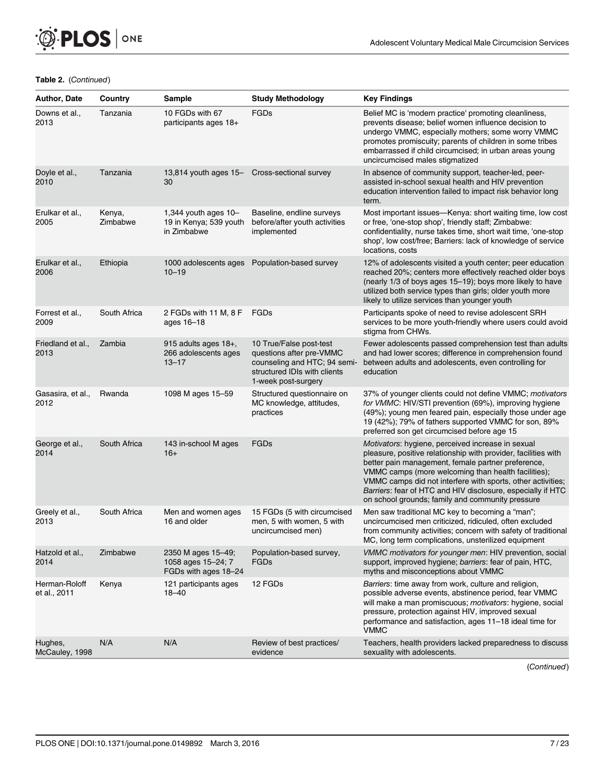| Author, Date                  | Country            | Sample                                                           | <b>Study Methodology</b>                                                                                                                   | <b>Key Findings</b>                                                                                                                                                                                                                                                                                                                                                                                                |
|-------------------------------|--------------------|------------------------------------------------------------------|--------------------------------------------------------------------------------------------------------------------------------------------|--------------------------------------------------------------------------------------------------------------------------------------------------------------------------------------------------------------------------------------------------------------------------------------------------------------------------------------------------------------------------------------------------------------------|
| Downs et al.,<br>2013         | Tanzania           | 10 FGDs with 67<br>participants ages 18+                         | <b>FGDs</b>                                                                                                                                | Belief MC is 'modern practice' promoting cleanliness,<br>prevents disease; belief women influence decision to<br>undergo VMMC, especially mothers; some worry VMMC<br>promotes promiscuity; parents of children in some tribes<br>embarrassed if child circumcised; in urban areas young<br>uncircumcised males stigmatized                                                                                        |
| Doyle et al.,<br>2010         | Tanzania           | 13,814 youth ages $15-$<br>30                                    | Cross-sectional survey                                                                                                                     | In absence of community support, teacher-led, peer-<br>assisted in-school sexual health and HIV prevention<br>education intervention failed to impact risk behavior long<br>term.                                                                                                                                                                                                                                  |
| Erulkar et al.,<br>2005       | Kenya,<br>Zimbabwe | 1,344 youth ages $10-$<br>19 in Kenya; 539 youth<br>in Zimbabwe  | Baseline, endline surveys<br>before/after youth activities<br>implemented                                                                  | Most important issues-Kenya: short waiting time, low cost<br>or free, 'one-stop shop', friendly staff; Zimbabwe:<br>confidentiality, nurse takes time, short wait time, 'one-stop<br>shop', low cost/free; Barriers: lack of knowledge of service<br>locations, costs                                                                                                                                              |
| Erulkar et al.,<br>2006       | Ethiopia           | 1000 adolescents ages<br>$10 - 19$                               | Population-based survey                                                                                                                    | 12% of adolescents visited a youth center; peer education<br>reached 20%; centers more effectively reached older boys<br>(nearly 1/3 of boys ages 15–19); boys more likely to have<br>utilized both service types than girls; older youth more<br>likely to utilize services than younger youth                                                                                                                    |
| Forrest et al.,<br>2009       | South Africa       | 2 FGDs with 11 M, 8 F<br>ages 16-18                              | FGDs                                                                                                                                       | Participants spoke of need to revise adolescent SRH<br>services to be more youth-friendly where users could avoid<br>stigma from CHWs.                                                                                                                                                                                                                                                                             |
| Friedland et al.,<br>2013     | Zambia             | 915 adults ages 18+,<br>266 adolescents ages<br>$13 - 17$        | 10 True/False post-test<br>questions after pre-VMMC<br>counseling and HTC; 94 semi-<br>structured IDIs with clients<br>1-week post-surgery | Fewer adolescents passed comprehension test than adults<br>and had lower scores; difference in comprehension found<br>between adults and adolescents, even controlling for<br>education                                                                                                                                                                                                                            |
| Gasasira, et al.,<br>2012     | Rwanda             | 1098 M ages 15-59                                                | Structured questionnaire on<br>MC knowledge, attitudes,<br>practices                                                                       | 37% of younger clients could not define VMMC; motivators<br>for VMMC: HIV/STI prevention (69%), improving hygiene<br>(49%); young men feared pain, especially those under age<br>19 (42%); 79% of fathers supported VMMC for son, 89%<br>preferred son get circumcised before age 15                                                                                                                               |
| George et al.,<br>2014        | South Africa       | 143 in-school M ages<br>$16+$                                    | <b>FGDs</b>                                                                                                                                | Motivators: hygiene, perceived increase in sexual<br>pleasure, positive relationship with provider, facilities with<br>better pain management, female partner preference,<br>VMMC camps (more welcoming than health facilities);<br>VMMC camps did not interfere with sports, other activities;<br>Barriers: fear of HTC and HIV disclosure, especially if HTC<br>on school grounds; family and community pressure |
| Greely et al.,<br>2013        | South Africa       | Men and women ages<br>16 and older                               | 15 FGDs (5 with circumcised<br>men, 5 with women, 5 with<br>uncircumcised men)                                                             | Men saw traditional MC key to becoming a "man";<br>uncircumcised men criticized, ridiculed, often excluded<br>from community activities; concern with safety of traditional<br>MC, long term complications, unsterilized equipment                                                                                                                                                                                 |
| Hatzold et al.,<br>2014       | Zimbabwe           | 2350 M ages 15-49;<br>1058 ages 15-24; 7<br>FGDs with ages 18-24 | Population-based survey,<br>FGDs                                                                                                           | VMMC motivators for younger men: HIV prevention, social<br>support, improved hygiene; barriers: fear of pain, HTC,<br>myths and misconceptions about VMMC                                                                                                                                                                                                                                                          |
| Herman-Roloff<br>et al., 2011 | Kenya              | 121 participants ages<br>18-40                                   | 12 FGDs                                                                                                                                    | Barriers: time away from work, culture and religion,<br>possible adverse events, abstinence period, fear VMMC<br>will make a man promiscuous; motivators: hygiene, social<br>pressure, protection against HIV, improved sexual<br>performance and satisfaction, ages 11-18 ideal time for<br><b>VMMC</b>                                                                                                           |
| Hughes,<br>McCauley, 1998     | N/A                | N/A                                                              | Review of best practices/<br>evidence                                                                                                      | Teachers, health providers lacked preparedness to discuss<br>sexuality with adolescents.                                                                                                                                                                                                                                                                                                                           |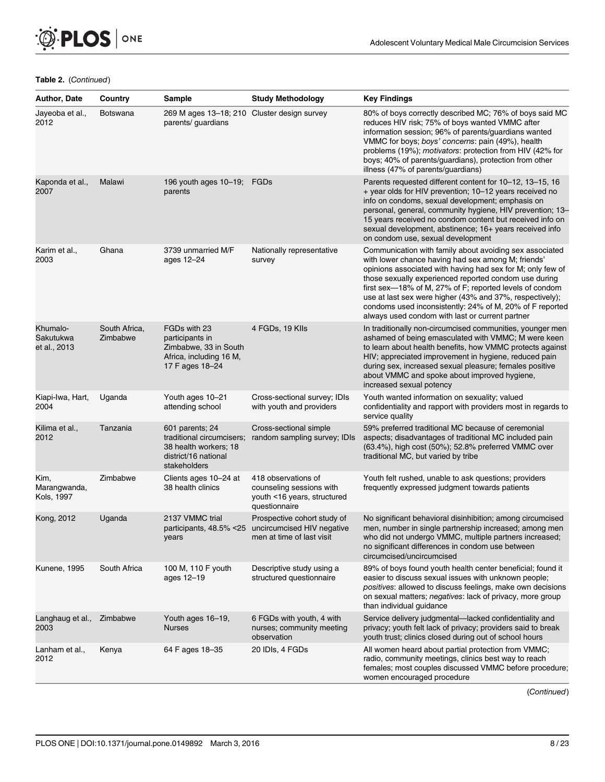| Author, Date                          | Country                   | <b>Sample</b>                                                                                                 | <b>Study Methodology</b>                                                                                       | <b>Key Findings</b>                                                                                                                                                                                                                                                                                                                                                                                                                                                        |
|---------------------------------------|---------------------------|---------------------------------------------------------------------------------------------------------------|----------------------------------------------------------------------------------------------------------------|----------------------------------------------------------------------------------------------------------------------------------------------------------------------------------------------------------------------------------------------------------------------------------------------------------------------------------------------------------------------------------------------------------------------------------------------------------------------------|
| Jayeoba et al.,<br>2012               | <b>Botswana</b>           | 269 M ages 13-18; 210 Cluster design survey<br>parents/ guardians                                             |                                                                                                                | 80% of boys correctly described MC; 76% of boys said MC<br>reduces HIV risk; 75% of boys wanted VMMC after<br>information session; 96% of parents/guardians wanted<br>VMMC for boys; boys' concerns: pain (49%), health<br>problems (19%); motivators: protection from HIV (42% for<br>boys; 40% of parents/guardians), protection from other<br>illness (47% of parents/guardians)                                                                                        |
| Kaponda et al.,<br>2007               | Malawi                    | 196 youth ages 10-19;<br>parents                                                                              | FGDs                                                                                                           | Parents requested different content for 10-12, 13-15, 16<br>+ year olds for HIV prevention; 10-12 years received no<br>info on condoms, sexual development; emphasis on<br>personal, general, community hygiene, HIV prevention; 13-<br>15 years received no condom content but received info on<br>sexual development, abstinence; 16+ years received info<br>on condom use, sexual development                                                                           |
| Karim et al.,<br>2003                 | Ghana                     | 3739 unmarried M/F<br>ages 12-24                                                                              | Nationally representative<br>survey                                                                            | Communication with family about avoiding sex associated<br>with lower chance having had sex among M; friends'<br>opinions associated with having had sex for M; only few of<br>those sexually experienced reported condom use during<br>first sex-18% of M, 27% of F; reported levels of condom<br>use at last sex were higher (43% and 37%, respectively);<br>condoms used inconsistently: 24% of M, 20% of F reported<br>always used condom with last or current partner |
| Khumalo-<br>Sakutukwa<br>et al., 2013 | South Africa,<br>Zimbabwe | FGDs with 23<br>participants in<br>Zimbabwe, 33 in South<br>Africa, including 16 M,<br>17 F ages 18-24        | 4 FGDs, 19 Kils                                                                                                | In traditionally non-circumcised communities, younger men<br>ashamed of being emasculated with VMMC; M were keen<br>to learn about health benefits, how VMMC protects against<br>HIV; appreciated improvement in hygiene, reduced pain<br>during sex, increased sexual pleasure; females positive<br>about VMMC and spoke about improved hygiene,<br>increased sexual potency                                                                                              |
| Kiapi-Iwa, Hart,<br>2004              | Uganda                    | Youth ages 10-21<br>attending school                                                                          | Cross-sectional survey; IDIs<br>with youth and providers                                                       | Youth wanted information on sexuality; valued<br>confidentiality and rapport with providers most in regards to<br>service quality                                                                                                                                                                                                                                                                                                                                          |
| Kilima et al.,<br>2012                | Tanzania                  | 601 parents; 24<br>traditional circumcisers;<br>38 health workers; 18<br>district/16 national<br>stakeholders | Cross-sectional simple<br>random sampling survey; IDIs                                                         | 59% preferred traditional MC because of ceremonial<br>aspects; disadvantages of traditional MC included pain<br>(63.4%), high cost (50%); 52.8% preferred VMMC over<br>traditional MC, but varied by tribe                                                                                                                                                                                                                                                                 |
| Kim,<br>Marangwanda,<br>Kols, 1997    | Zimbabwe                  | Clients ages 10-24 at<br>38 health clinics                                                                    | 418 observations of<br>counseling sessions with<br>youth <16 years, structured<br>questionnaire                | Youth felt rushed, unable to ask questions; providers<br>frequently expressed judgment towards patients                                                                                                                                                                                                                                                                                                                                                                    |
| Kong, 2012                            | Uganda                    | 2137 VMMC trial<br>years                                                                                      | Prospective cohort study of<br>participants, 48.5% <25 uncircumcised HIV negative<br>men at time of last visit | No significant behavioral disinhibition; among circumcised<br>men, number in single partnership increased; among men<br>who did not undergo VMMC, multiple partners increased;<br>no significant differences in condom use between<br>circumcised/uncircumcised                                                                                                                                                                                                            |
| Kunene, 1995                          | South Africa              | 100 M, 110 F youth<br>ages 12-19                                                                              | Descriptive study using a<br>structured questionnaire                                                          | 89% of boys found youth health center beneficial; found it<br>easier to discuss sexual issues with unknown people;<br>positives: allowed to discuss feelings, make own decisions<br>on sexual matters; negatives: lack of privacy, more group<br>than individual guidance                                                                                                                                                                                                  |
| Langhaug et al.,<br>2003              | Zimbabwe                  | Youth ages 16-19,<br><b>Nurses</b>                                                                            | 6 FGDs with youth, 4 with<br>nurses; community meeting<br>observation                                          | Service delivery judgmental-lacked confidentiality and<br>privacy; youth felt lack of privacy; providers said to break<br>youth trust; clinics closed during out of school hours                                                                                                                                                                                                                                                                                           |
| Lanham et al.,<br>2012                | Kenya                     | 64 F ages 18-35                                                                                               | 20 IDIs, 4 FGDs                                                                                                | All women heard about partial protection from VMMC;<br>radio, community meetings, clinics best way to reach<br>females; most couples discussed VMMC before procedure;<br>women encouraged procedure                                                                                                                                                                                                                                                                        |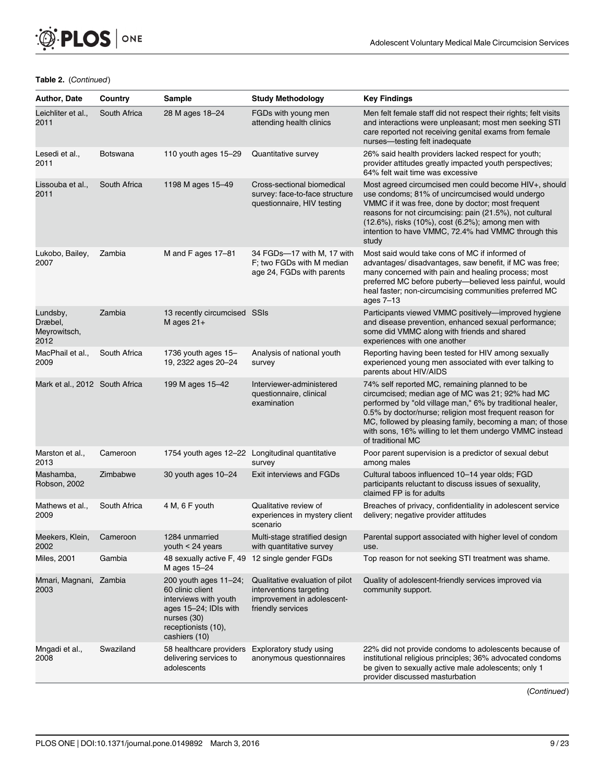

| Author, Date                                | Country         | Sample                                                                                                                                             | <b>Study Methodology</b>                                                                                      | <b>Key Findings</b>                                                                                                                                                                                                                                                                                                                                                    |
|---------------------------------------------|-----------------|----------------------------------------------------------------------------------------------------------------------------------------------------|---------------------------------------------------------------------------------------------------------------|------------------------------------------------------------------------------------------------------------------------------------------------------------------------------------------------------------------------------------------------------------------------------------------------------------------------------------------------------------------------|
| Leichliter et al.,<br>2011                  | South Africa    | 28 M ages 18-24                                                                                                                                    | FGDs with young men<br>attending health clinics                                                               | Men felt female staff did not respect their rights; felt visits<br>and interactions were unpleasant; most men seeking STI<br>care reported not receiving genital exams from female<br>nurses-testing felt inadequate                                                                                                                                                   |
| Lesedi et al.,<br>2011                      | <b>Botswana</b> | 110 youth ages 15-29                                                                                                                               | Quantitative survey                                                                                           | 26% said health providers lacked respect for youth;<br>provider attitudes greatly impacted youth perspectives;<br>64% felt wait time was excessive                                                                                                                                                                                                                     |
| Lissouba et al.,<br>2011                    | South Africa    | 1198 M ages 15-49                                                                                                                                  | Cross-sectional biomedical<br>survey: face-to-face structure<br>questionnaire, HIV testing                    | Most agreed circumcised men could become HIV+, should<br>use condoms; 81% of uncircumcised would undergo<br>VMMC if it was free, done by doctor; most frequent<br>reasons for not circumcising: pain (21.5%), not cultural<br>(12.6%), risks (10%), cost (6.2%); among men with<br>intention to have VMMC, 72.4% had VMMC through this<br>study                        |
| Lukobo, Bailey,<br>2007                     | Zambia          | M and F ages 17-81                                                                                                                                 | 34 FGDs-17 with M, 17 with<br>F; two FGDs with M median<br>age 24, FGDs with parents                          | Most said would take cons of MC if informed of<br>advantages/ disadvantages, saw benefit, if MC was free;<br>many concerned with pain and healing process; most<br>preferred MC before puberty-believed less painful, would<br>heal faster; non-circumcising communities preferred MC<br>ages $7-13$                                                                   |
| Lundsby,<br>Dræbel,<br>Meyrowitsch,<br>2012 | Zambia          | 13 recently circumcised SSIs<br>M ages $21+$                                                                                                       |                                                                                                               | Participants viewed VMMC positively-improved hygiene<br>and disease prevention, enhanced sexual performance;<br>some did VMMC along with friends and shared<br>experiences with one another                                                                                                                                                                            |
| MacPhail et al.,<br>2009                    | South Africa    | 1736 youth ages 15-<br>19, 2322 ages 20-24                                                                                                         | Analysis of national youth<br>survey                                                                          | Reporting having been tested for HIV among sexually<br>experienced young men associated with ever talking to<br>parents about HIV/AIDS                                                                                                                                                                                                                                 |
| Mark et al., 2012 South Africa              |                 | 199 M ages 15-42                                                                                                                                   | Interviewer-administered<br>questionnaire, clinical<br>examination                                            | 74% self reported MC, remaining planned to be<br>circumcised; median age of MC was 21; 92% had MC<br>performed by "old village man," 6% by traditional healer,<br>0.5% by doctor/nurse; religion most frequent reason for<br>MC, followed by pleasing family, becoming a man; of those<br>with sons, 16% willing to let them undergo VMMC instead<br>of traditional MC |
| Marston et al.,<br>2013                     | Cameroon        |                                                                                                                                                    | 1754 youth ages 12-22 Longitudinal quantitative<br>survey                                                     | Poor parent supervision is a predictor of sexual debut<br>among males                                                                                                                                                                                                                                                                                                  |
| Mashamba,<br>Robson, 2002                   | Zimbabwe        | 30 youth ages 10-24                                                                                                                                | <b>Exit interviews and FGDs</b>                                                                               | Cultural taboos influenced 10-14 year olds; FGD<br>participants reluctant to discuss issues of sexuality,<br>claimed FP is for adults                                                                                                                                                                                                                                  |
| Mathews et al.,<br>2009                     | South Africa    | 4 M, 6 F youth                                                                                                                                     | Qualitative review of<br>experiences in mystery client<br>scenario                                            | Breaches of privacy, confidentiality in adolescent service<br>delivery; negative provider attitudes                                                                                                                                                                                                                                                                    |
| Meekers, Klein,<br>2002                     | Cameroon        | 1284 unmarried<br>youth $<$ 24 years                                                                                                               | Multi-stage stratified design<br>with quantitative survey                                                     | Parental support associated with higher level of condom<br>use.                                                                                                                                                                                                                                                                                                        |
| <b>Miles, 2001</b>                          | Gambia          | 48 sexually active F, 49 12 single gender FGDs<br>M ages 15–24                                                                                     |                                                                                                               | Top reason for not seeking STI treatment was shame.                                                                                                                                                                                                                                                                                                                    |
| Mmari, Magnani, Zambia<br>2003              |                 | 200 youth ages 11-24;<br>60 clinic client<br>interviews with youth<br>ages 15-24; IDIs with<br>nurses (30)<br>receptionists (10),<br>cashiers (10) | Qualitative evaluation of pilot<br>interventions targeting<br>improvement in adolescent-<br>friendly services | Quality of adolescent-friendly services improved via<br>community support.                                                                                                                                                                                                                                                                                             |
| Mngadi et al.,<br>2008                      | Swaziland       | 58 healthcare providers<br>delivering services to<br>adolescents                                                                                   | Exploratory study using<br>anonymous questionnaires                                                           | 22% did not provide condoms to adolescents because of<br>institutional religious principles; 36% advocated condoms<br>be given to sexually active male adolescents; only 1<br>provider discussed masturbation                                                                                                                                                          |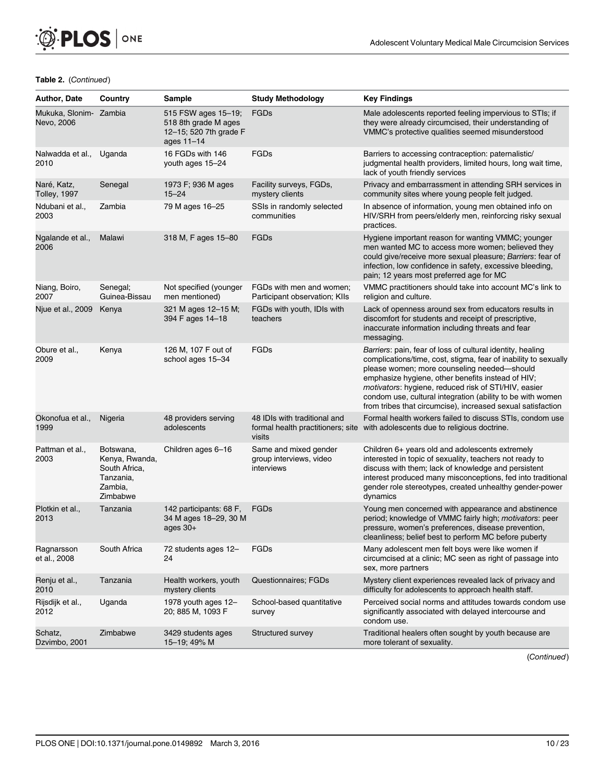| Author, Date                         | Country                                                                          | Sample                                                                              | <b>Study Methodology</b>                                       | <b>Key Findings</b>                                                                                                                                                                                                                                                                                                                                                                                                    |
|--------------------------------------|----------------------------------------------------------------------------------|-------------------------------------------------------------------------------------|----------------------------------------------------------------|------------------------------------------------------------------------------------------------------------------------------------------------------------------------------------------------------------------------------------------------------------------------------------------------------------------------------------------------------------------------------------------------------------------------|
| Mukuka, Slonim- Zambia<br>Nevo, 2006 |                                                                                  | 515 FSW ages 15-19;<br>518 8th grade M ages<br>12-15; 520 7th grade F<br>ages 11-14 | <b>FGDs</b>                                                    | Male adolescents reported feeling impervious to STIs; if<br>they were already circumcised, their understanding of<br>VMMC's protective qualities seemed misunderstood                                                                                                                                                                                                                                                  |
| Nalwadda et al.,<br>2010             | Uganda                                                                           | 16 FGDs with 146<br>youth ages 15-24                                                | FGDs                                                           | Barriers to accessing contraception: paternalistic/<br>judgmental health providers, limited hours, long wait time,<br>lack of youth friendly services                                                                                                                                                                                                                                                                  |
| Naré, Katz,<br>Tolley, 1997          | Senegal                                                                          | 1973 F; 936 M ages<br>$15 - 24$                                                     | Facility surveys, FGDs,<br>mystery clients                     | Privacy and embarrassment in attending SRH services in<br>community sites where young people felt judged.                                                                                                                                                                                                                                                                                                              |
| Ndubani et al.,<br>2003              | Zambia                                                                           | 79 M ages 16-25                                                                     | SSIs in randomly selected<br>communities                       | In absence of information, young men obtained info on<br>HIV/SRH from peers/elderly men, reinforcing risky sexual<br>practices.                                                                                                                                                                                                                                                                                        |
| Ngalande et al.,<br>2006             | Malawi                                                                           | 318 M, F ages 15-80                                                                 | FGDs                                                           | Hygiene important reason for wanting VMMC; younger<br>men wanted MC to access more women; believed they<br>could give/receive more sexual pleasure; Barriers: fear of<br>infection, low confidence in safety, excessive bleeding,<br>pain; 12 years most preferred age for MC                                                                                                                                          |
| Niang, Boiro,<br>2007                | Senegal;<br>Guinea-Bissau                                                        | Not specified (younger<br>men mentioned)                                            | FGDs with men and women;<br>Participant observation; KIIs      | VMMC practitioners should take into account MC's link to<br>religion and culture.                                                                                                                                                                                                                                                                                                                                      |
| Njue et al., 2009                    | Kenya                                                                            | 321 M ages 12–15 M;<br>394 F ages 14-18                                             | FGDs with youth, IDIs with<br>teachers                         | Lack of openness around sex from educators results in<br>discomfort for students and receipt of prescriptive,<br>inaccurate information including threats and fear<br>messaging.                                                                                                                                                                                                                                       |
| Obure et al.,<br>2009                | Kenya                                                                            | 126 M, 107 F out of<br>school ages 15-34                                            | FGDs                                                           | Barriers: pain, fear of loss of cultural identity, healing<br>complications/time, cost, stigma, fear of inability to sexually<br>please women; more counseling needed-should<br>emphasize hygiene, other benefits instead of HIV;<br>motivators: hygiene, reduced risk of STI/HIV, easier<br>condom use, cultural integration (ability to be with women<br>from tribes that circumcise), increased sexual satisfaction |
| Okonofua et al.,<br>1999             | Nigeria                                                                          | 48 providers serving<br>adolescents                                                 | 48 IDIs with traditional and<br>visits                         | Formal health workers failed to discuss STIs, condom use<br>formal health practitioners; site with adolescents due to religious doctrine.                                                                                                                                                                                                                                                                              |
| Pattman et al.,<br>2003              | Botswana,<br>Kenya, Rwanda,<br>South Africa,<br>Tanzania,<br>Zambia,<br>Zimbabwe | Children ages 6-16                                                                  | Same and mixed gender<br>group interviews, video<br>interviews | Children 6+ years old and adolescents extremely<br>interested in topic of sexuality, teachers not ready to<br>discuss with them; lack of knowledge and persistent<br>interest produced many misconceptions, fed into traditional<br>gender role stereotypes, created unhealthy gender-power<br>dynamics                                                                                                                |
| Plotkin et al.,<br>2013              | Tanzania                                                                         | 142 participants: 68 F,<br>34 M ages 18–29, 30 M<br>ages 30+                        | FGDs                                                           | Young men concerned with appearance and abstinence<br>period; knowledge of VMMC fairly high; motivators: peer<br>pressure, women's preferences, disease prevention,<br>cleanliness; belief best to perform MC before puberty                                                                                                                                                                                           |
| Ragnarsson<br>et al., 2008           | South Africa                                                                     | 72 students ages 12-<br>24                                                          | <b>FGDs</b>                                                    | Many adolescent men felt boys were like women if<br>circumcised at a clinic; MC seen as right of passage into<br>sex, more partners                                                                                                                                                                                                                                                                                    |
| Renju et al.,<br>2010                | Tanzania                                                                         | Health workers, youth<br>mystery clients                                            | <b>Questionnaires; FGDs</b>                                    | Mystery client experiences revealed lack of privacy and<br>difficulty for adolescents to approach health staff.                                                                                                                                                                                                                                                                                                        |
| Rijsdijk et al.,<br>2012             | Uganda                                                                           | 1978 youth ages 12-<br>20; 885 M, 1093 F                                            | School-based quantitative<br>survey                            | Perceived social norms and attitudes towards condom use<br>significantly associated with delayed intercourse and<br>condom use.                                                                                                                                                                                                                                                                                        |
| Schatz,<br>Dzvimbo, 2001             | Zimbabwe                                                                         | 3429 students ages<br>15-19; 49% M                                                  | Structured survey                                              | Traditional healers often sought by youth because are<br>more tolerant of sexuality.                                                                                                                                                                                                                                                                                                                                   |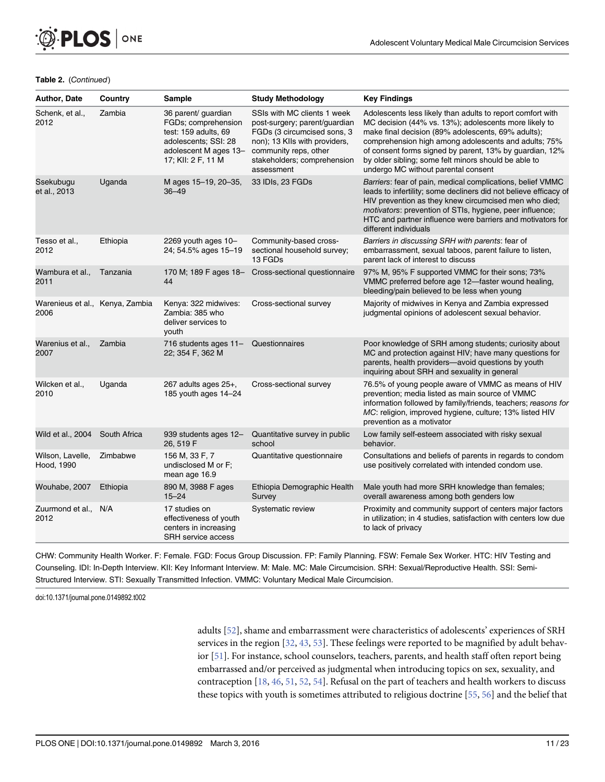<span id="page-10-0"></span>

| Author, Date                            | Country      | Sample                                                                                                                                    | <b>Study Methodology</b>                                                                                                                                                                           | <b>Key Findings</b>                                                                                                                                                                                                                                                                                                                                                                         |
|-----------------------------------------|--------------|-------------------------------------------------------------------------------------------------------------------------------------------|----------------------------------------------------------------------------------------------------------------------------------------------------------------------------------------------------|---------------------------------------------------------------------------------------------------------------------------------------------------------------------------------------------------------------------------------------------------------------------------------------------------------------------------------------------------------------------------------------------|
| Schenk, et al.,<br>2012                 | Zambia       | 36 parent/ guardian<br>FGDs; comprehension<br>test: 159 adults, 69<br>adolescents; SSI: 28<br>adolescent M ages 13-<br>17; KII: 2 F, 11 M | SSIs with MC clients 1 week<br>post-surgery; parent/guardian<br>FGDs (3 circumcised sons, 3<br>non); 13 Klls with providers,<br>community reps, other<br>stakeholders; comprehension<br>assessment | Adolescents less likely than adults to report comfort with<br>MC decision (44% vs. 13%); adolescents more likely to<br>make final decision (89% adolescents, 69% adults);<br>comprehension high among adolescents and adults; 75%<br>of consent forms signed by parent, 13% by guardian, 12%<br>by older sibling; some felt minors should be able to<br>undergo MC without parental consent |
| Ssekubugu<br>et al., 2013               | Uganda       | M ages 15-19, 20-35,<br>$36 - 49$                                                                                                         | 33 IDIs, 23 FGDs                                                                                                                                                                                   | Barriers: fear of pain, medical complications, belief VMMC<br>leads to infertility; some decliners did not believe efficacy of<br>HIV prevention as they knew circumcised men who died;<br>motivators: prevention of STIs, hygiene, peer influence;<br>HTC and partner influence were barriers and motivators for<br>different individuals                                                  |
| Tesso et al.,<br>2012                   | Ethiopia     | 2269 youth ages 10-<br>24; 54.5% ages 15-19                                                                                               | Community-based cross-<br>sectional household survey;<br>13 FGDs                                                                                                                                   | Barriers in discussing SRH with parents: fear of<br>embarrassment, sexual taboos, parent failure to listen,<br>parent lack of interest to discuss                                                                                                                                                                                                                                           |
| Wambura et al.,<br>2011                 | Tanzania     | 44                                                                                                                                        | 170 M; 189 F ages 18- Cross-sectional questionnaire                                                                                                                                                | 97% M, 95% F supported VMMC for their sons; 73%<br>VMMC preferred before age 12-faster wound healing,<br>bleeding/pain believed to be less when young                                                                                                                                                                                                                                       |
| Warenieus et al., Kenya, Zambia<br>2006 |              | Kenya: 322 midwives:<br>Zambia: 385 who<br>deliver services to<br>youth                                                                   | Cross-sectional survey                                                                                                                                                                             | Majority of midwives in Kenya and Zambia expressed<br>judgmental opinions of adolescent sexual behavior.                                                                                                                                                                                                                                                                                    |
| Warenius et al.,<br>2007                | Zambia       | 716 students ages 11-<br>22; 354 F, 362 M                                                                                                 | Questionnaires                                                                                                                                                                                     | Poor knowledge of SRH among students; curiosity about<br>MC and protection against HIV; have many questions for<br>parents, health providers—avoid questions by youth<br>inquiring about SRH and sexuality in general                                                                                                                                                                       |
| Wilcken et al.,<br>2010                 | Uganda       | 267 adults ages 25+,<br>185 youth ages 14-24                                                                                              | Cross-sectional survey                                                                                                                                                                             | 76.5% of young people aware of VMMC as means of HIV<br>prevention; media listed as main source of VMMC<br>information followed by family/friends, teachers; reasons for<br>MC: religion, improved hygiene, culture; 13% listed HIV<br>prevention as a motivator                                                                                                                             |
| Wild et al., 2004                       | South Africa | 939 students ages 12-<br>26, 519 F                                                                                                        | Quantitative survey in public<br>school                                                                                                                                                            | Low family self-esteem associated with risky sexual<br>behavior.                                                                                                                                                                                                                                                                                                                            |
| Wilson, Lavelle,<br>Hood, 1990          | Zimbabwe     | 156 M, 33 F, 7<br>undisclosed M or F;<br>mean age 16.9                                                                                    | Quantitative questionnaire                                                                                                                                                                         | Consultations and beliefs of parents in regards to condom<br>use positively correlated with intended condom use.                                                                                                                                                                                                                                                                            |
| Wouhabe, 2007                           | Ethiopia     | 890 M, 3988 F ages<br>$15 - 24$                                                                                                           | Ethiopia Demographic Health<br>Survey                                                                                                                                                              | Male youth had more SRH knowledge than females;<br>overall awareness among both genders low                                                                                                                                                                                                                                                                                                 |
| Zuurmond et al., N/A<br>2012            |              | 17 studies on<br>effectiveness of youth<br>centers in increasing<br><b>SRH</b> service access                                             | Systematic review                                                                                                                                                                                  | Proximity and community support of centers major factors<br>in utilization; in 4 studies, satisfaction with centers low due<br>to lack of privacy                                                                                                                                                                                                                                           |

CHW: Community Health Worker. F: Female. FGD: Focus Group Discussion. FP: Family Planning. FSW: Female Sex Worker. HTC: HIV Testing and Counseling. IDI: In-Depth Interview. KII: Key Informant Interview. M: Male. MC: Male Circumcision. SRH: Sexual/Reproductive Health. SSI: Semi-Structured Interview. STI: Sexually Transmitted Infection. VMMC: Voluntary Medical Male Circumcision.

doi:10.1371/journal.pone.0149892.t002

adults [[52](#page-19-0)], shame and embarrassment were characteristics of adolescents' experiences of SRH services in the region  $[32, 43, 53]$  $[32, 43, 53]$  $[32, 43, 53]$  $[32, 43, 53]$  $[32, 43, 53]$  $[32, 43, 53]$  $[32, 43, 53]$ . These feelings were reported to be magnified by adult behavior  $[51]$  $[51]$  $[51]$ . For instance, school counselors, teachers, parents, and health staff often report being embarrassed and/or perceived as judgmental when introducing topics on sex, sexuality, and contraception  $[18, 46, 51, 52, 54]$  $[18, 46, 51, 52, 54]$  $[18, 46, 51, 52, 54]$  $[18, 46, 51, 52, 54]$  $[18, 46, 51, 52, 54]$  $[18, 46, 51, 52, 54]$  $[18, 46, 51, 52, 54]$  $[18, 46, 51, 52, 54]$  $[18, 46, 51, 52, 54]$  $[18, 46, 51, 52, 54]$  $[18, 46, 51, 52, 54]$ . Refusal on the part of teachers and health workers to discuss these topics with youth is sometimes attributed to religious doctrine [[55](#page-20-0), [56](#page-20-0)] and the belief that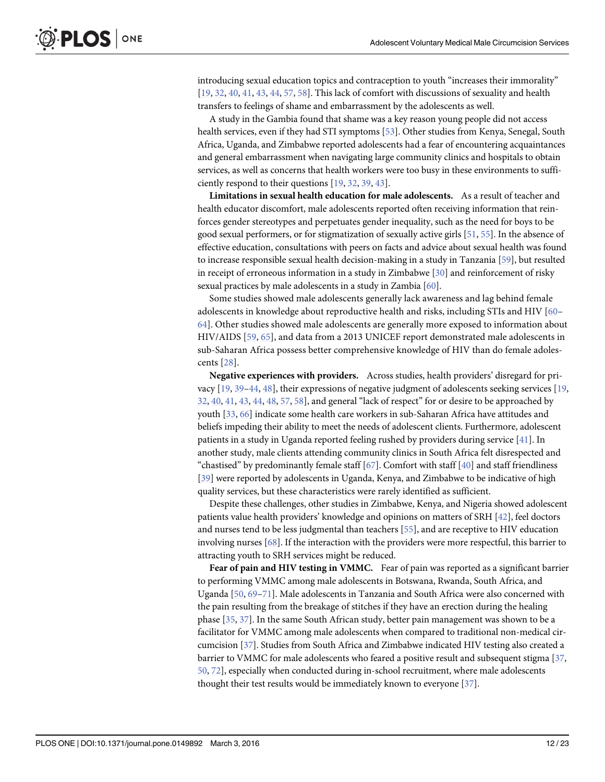<span id="page-11-0"></span>introducing sexual education topics and contraception to youth "increases their immorality" [\[19](#page-18-0), [32,](#page-18-0) [40](#page-19-0), [41](#page-19-0), [43,](#page-19-0) [44,](#page-19-0) [57,](#page-20-0) [58\]](#page-20-0). This lack of comfort with discussions of sexuality and health transfers to feelings of shame and embarrassment by the adolescents as well.

A study in the Gambia found that shame was a key reason young people did not access health services, even if they had STI symptoms [\[53\]](#page-19-0). Other studies from Kenya, Senegal, South Africa, Uganda, and Zimbabwe reported adolescents had a fear of encountering acquaintances and general embarrassment when navigating large community clinics and hospitals to obtain services, as well as concerns that health workers were too busy in these environments to sufficiently respond to their questions [[19](#page-18-0), [32](#page-18-0), [39](#page-19-0), [43](#page-19-0)].

Limitations in sexual health education for male adolescents. As a result of teacher and health educator discomfort, male adolescents reported often receiving information that reinforces gender stereotypes and perpetuates gender inequality, such as the need for boys to be good sexual performers, or for stigmatization of sexually active girls [[51](#page-19-0), [55](#page-20-0)]. In the absence of effective education, consultations with peers on facts and advice about sexual health was found to increase responsible sexual health decision-making in a study in Tanzania [[59](#page-20-0)], but resulted in receipt of erroneous information in a study in Zimbabwe [[30](#page-18-0)] and reinforcement of risky sexual practices by male adolescents in a study in Zambia [[60](#page-20-0)].

Some studies showed male adolescents generally lack awareness and lag behind female adolescents in knowledge about reproductive health and risks, including STIs and HIV [[60](#page-20-0)– [64\]](#page-20-0). Other studies showed male adolescents are generally more exposed to information about HIV/AIDS [[59,](#page-20-0) [65\]](#page-20-0), and data from a 2013 UNICEF report demonstrated male adolescents in sub-Saharan Africa possess better comprehensive knowledge of HIV than do female adolescents [[28](#page-18-0)].

Negative experiences with providers. Across studies, health providers' disregard for privacy [\[19,](#page-18-0) [39](#page-19-0)–[44,](#page-19-0) [48\]](#page-19-0), their expressions of negative judgment of adolescents seeking services [[19,](#page-18-0) [32,](#page-18-0) [40,](#page-19-0) [41,](#page-19-0) [43,](#page-19-0) [44](#page-19-0), [48](#page-19-0), [57](#page-20-0), [58](#page-20-0)], and general "lack of respect" for or desire to be approached by youth [[33](#page-18-0), [66](#page-20-0)] indicate some health care workers in sub-Saharan Africa have attitudes and beliefs impeding their ability to meet the needs of adolescent clients. Furthermore, adolescent patients in a study in Uganda reported feeling rushed by providers during service [[41](#page-19-0)]. In another study, male clients attending community clinics in South Africa felt disrespected and "chastised" by predominantly female staff  $[67]$  $[67]$  $[67]$ . Comfort with staff  $[40]$  and staff friendliness [\[39](#page-19-0)] were reported by adolescents in Uganda, Kenya, and Zimbabwe to be indicative of high quality services, but these characteristics were rarely identified as sufficient.

Despite these challenges, other studies in Zimbabwe, Kenya, and Nigeria showed adolescent patients value health providers' knowledge and opinions on matters of SRH [\[42\]](#page-19-0), feel doctors and nurses tend to be less judgmental than teachers [[55](#page-20-0)], and are receptive to HIV education involving nurses [[68\]](#page-20-0). If the interaction with the providers were more respectful, this barrier to attracting youth to SRH services might be reduced.

Fear of pain and HIV testing in VMMC. Fear of pain was reported as a significant barrier to performing VMMC among male adolescents in Botswana, Rwanda, South Africa, and Uganda [[50,](#page-19-0) [69](#page-20-0)–[71](#page-20-0)]. Male adolescents in Tanzania and South Africa were also concerned with the pain resulting from the breakage of stitches if they have an erection during the healing phase [\[35,](#page-19-0) [37\]](#page-19-0). In the same South African study, better pain management was shown to be a facilitator for VMMC among male adolescents when compared to traditional non-medical circumcision [[37](#page-19-0)]. Studies from South Africa and Zimbabwe indicated HIV testing also created a barrier to VMMC for male adolescents who feared a positive result and subsequent stigma [[37](#page-19-0), [50,](#page-19-0) [72\]](#page-20-0), especially when conducted during in-school recruitment, where male adolescents thought their test results would be immediately known to everyone [\[37\]](#page-19-0).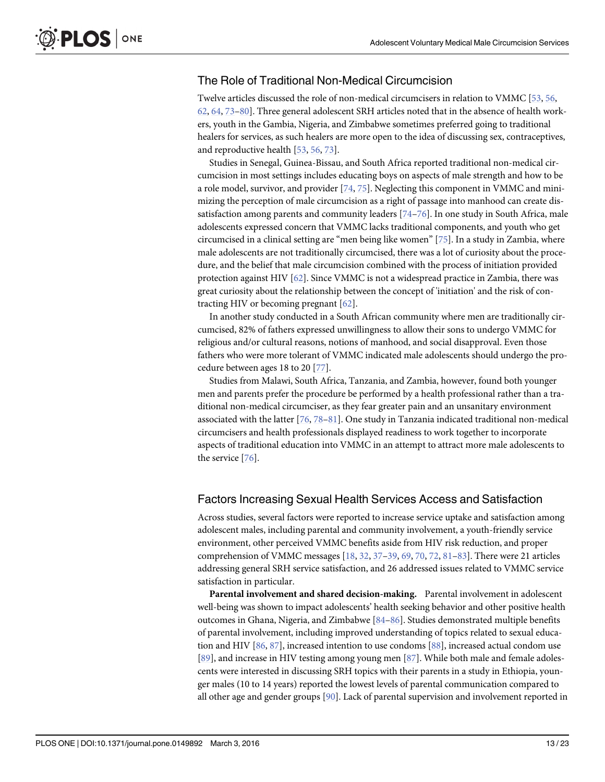# <span id="page-12-0"></span>The Role of Traditional Non-Medical Circumcision

Twelve articles discussed the role of non-medical circumcisers in relation to VMMC [\[53,](#page-19-0) [56,](#page-20-0) [62,](#page-20-0) [64,](#page-20-0) [73](#page-20-0)–[80](#page-21-0)]. Three general adolescent SRH articles noted that in the absence of health workers, youth in the Gambia, Nigeria, and Zimbabwe sometimes preferred going to traditional healers for services, as such healers are more open to the idea of discussing sex, contraceptives, and reproductive health [\[53](#page-19-0), [56,](#page-20-0) [73](#page-20-0)].

Studies in Senegal, Guinea-Bissau, and South Africa reported traditional non-medical circumcision in most settings includes educating boys on aspects of male strength and how to be a role model, survivor, and provider  $[74, 75]$  $[74, 75]$  $[74, 75]$  $[74, 75]$  $[74, 75]$ . Neglecting this component in VMMC and minimizing the perception of male circumcision as a right of passage into manhood can create dissatisfaction among parents and community leaders  $[74-76]$  $[74-76]$  $[74-76]$  $[74-76]$ . In one study in South Africa, male adolescents expressed concern that VMMC lacks traditional components, and youth who get circumcised in a clinical setting are "men being like women" [[75](#page-21-0)]. In a study in Zambia, where male adolescents are not traditionally circumcised, there was a lot of curiosity about the procedure, and the belief that male circumcision combined with the process of initiation provided protection against HIV [\[62\]](#page-20-0). Since VMMC is not a widespread practice in Zambia, there was great curiosity about the relationship between the concept of 'initiation' and the risk of contracting HIV or becoming pregnant [[62](#page-20-0)].

In another study conducted in a South African community where men are traditionally circumcised, 82% of fathers expressed unwillingness to allow their sons to undergo VMMC for religious and/or cultural reasons, notions of manhood, and social disapproval. Even those fathers who were more tolerant of VMMC indicated male adolescents should undergo the procedure between ages 18 to 20 [[77\]](#page-21-0).

Studies from Malawi, South Africa, Tanzania, and Zambia, however, found both younger men and parents prefer the procedure be performed by a health professional rather than a traditional non-medical circumciser, as they fear greater pain and an unsanitary environment associated with the latter  $[76, 78-81]$  $[76, 78-81]$  $[76, 78-81]$  $[76, 78-81]$  $[76, 78-81]$ . One study in Tanzania indicated traditional non-medical circumcisers and health professionals displayed readiness to work together to incorporate aspects of traditional education into VMMC in an attempt to attract more male adolescents to the service [\[76\]](#page-21-0).

# Factors Increasing Sexual Health Services Access and Satisfaction

Across studies, several factors were reported to increase service uptake and satisfaction among adolescent males, including parental and community involvement, a youth-friendly service environment, other perceived VMMC benefits aside from HIV risk reduction, and proper comprehension of VMMC messages  $[18, 32, 37-39, 69, 70, 72, 81-83]$  $[18, 32, 37-39, 69, 70, 72, 81-83]$  $[18, 32, 37-39, 69, 70, 72, 81-83]$  $[18, 32, 37-39, 69, 70, 72, 81-83]$  $[18, 32, 37-39, 69, 70, 72, 81-83]$  $[18, 32, 37-39, 69, 70, 72, 81-83]$  $[18, 32, 37-39, 69, 70, 72, 81-83]$  $[18, 32, 37-39, 69, 70, 72, 81-83]$  $[18, 32, 37-39, 69, 70, 72, 81-83]$  $[18, 32, 37-39, 69, 70, 72, 81-83]$  $[18, 32, 37-39, 69, 70, 72, 81-83]$  $[18, 32, 37-39, 69, 70, 72, 81-83]$  $[18, 32, 37-39, 69, 70, 72, 81-83]$  $[18, 32, 37-39, 69, 70, 72, 81-83]$  $[18, 32, 37-39, 69, 70, 72, 81-83]$  $[18, 32, 37-39, 69, 70, 72, 81-83]$  $[18, 32, 37-39, 69, 70, 72, 81-83]$  $[18, 32, 37-39, 69, 70, 72, 81-83]$ . There were 21 articles addressing general SRH service satisfaction, and 26 addressed issues related to VMMC service satisfaction in particular.

Parental involvement and shared decision-making. Parental involvement in adolescent well-being was shown to impact adolescents' health seeking behavior and other positive health outcomes in Ghana, Nigeria, and Zimbabwe  $[84-86]$  $[84-86]$  $[84-86]$ . Studies demonstrated multiple benefits of parental involvement, including improved understanding of topics related to sexual education and HIV [\[86,](#page-21-0) [87\]](#page-21-0), increased intention to use condoms [[88](#page-21-0)], increased actual condom use [\[89](#page-21-0)], and increase in HIV testing among young men [[87](#page-21-0)]. While both male and female adolescents were interested in discussing SRH topics with their parents in a study in Ethiopia, younger males (10 to 14 years) reported the lowest levels of parental communication compared to all other age and gender groups  $[90]$  $[90]$  $[90]$ . Lack of parental supervision and involvement reported in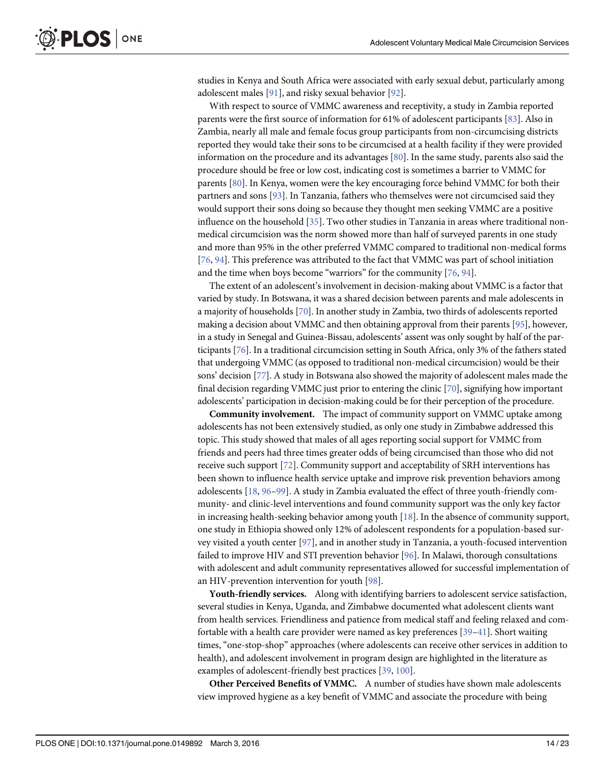<span id="page-13-0"></span>studies in Kenya and South Africa were associated with early sexual debut, particularly among adolescent males [\[91\]](#page-21-0), and risky sexual behavior [[92](#page-21-0)].

With respect to source of VMMC awareness and receptivity, a study in Zambia reported parents were the first source of information for 61% of adolescent participants [\[83\]](#page-21-0). Also in Zambia, nearly all male and female focus group participants from non-circumcising districts reported they would take their sons to be circumcised at a health facility if they were provided information on the procedure and its advantages [\[80](#page-21-0)]. In the same study, parents also said the procedure should be free or low cost, indicating cost is sometimes a barrier to VMMC for parents [\[80\]](#page-21-0). In Kenya, women were the key encouraging force behind VMMC for both their partners and sons [[93\]](#page-21-0). In Tanzania, fathers who themselves were not circumcised said they would support their sons doing so because they thought men seeking VMMC are a positive influence on the household [\[35\]](#page-19-0). Two other studies in Tanzania in areas where traditional nonmedical circumcision was the norm showed more than half of surveyed parents in one study and more than 95% in the other preferred VMMC compared to traditional non-medical forms [\[76](#page-21-0), [94\]](#page-22-0). This preference was attributed to the fact that VMMC was part of school initiation and the time when boys become "warriors" for the community [\[76,](#page-21-0) [94\]](#page-22-0).

The extent of an adolescent's involvement in decision-making about VMMC is a factor that varied by study. In Botswana, it was a shared decision between parents and male adolescents in a majority of households [\[70\]](#page-20-0). In another study in Zambia, two thirds of adolescents reported making a decision about VMMC and then obtaining approval from their parents [[95](#page-22-0)], however, in a study in Senegal and Guinea-Bissau, adolescents' assent was only sought by half of the participants [\[76\]](#page-21-0). In a traditional circumcision setting in South Africa, only 3% of the fathers stated that undergoing VMMC (as opposed to traditional non-medical circumcision) would be their sons' decision [[77](#page-21-0)]. A study in Botswana also showed the majority of adolescent males made the final decision regarding VMMC just prior to entering the clinic [[70\]](#page-20-0), signifying how important adolescents' participation in decision-making could be for their perception of the procedure.

Community involvement. The impact of community support on VMMC uptake among adolescents has not been extensively studied, as only one study in Zimbabwe addressed this topic. This study showed that males of all ages reporting social support for VMMC from friends and peers had three times greater odds of being circumcised than those who did not receive such support [[72\]](#page-20-0). Community support and acceptability of SRH interventions has been shown to influence health service uptake and improve risk prevention behaviors among adolescents [\[18,](#page-18-0) [96](#page-22-0)–[99](#page-22-0)]. A study in Zambia evaluated the effect of three youth-friendly community- and clinic-level interventions and found community support was the only key factor in increasing health-seeking behavior among youth  $[18]$ . In the absence of community support, one study in Ethiopia showed only 12% of adolescent respondents for a population-based survey visited a youth center [[97](#page-22-0)], and in another study in Tanzania, a youth-focused intervention failed to improve HIV and STI prevention behavior [\[96\]](#page-22-0). In Malawi, thorough consultations with adolescent and adult community representatives allowed for successful implementation of an HIV-prevention intervention for youth [[98](#page-22-0)].

Youth-friendly services. Along with identifying barriers to adolescent service satisfaction, several studies in Kenya, Uganda, and Zimbabwe documented what adolescent clients want from health services. Friendliness and patience from medical staff and feeling relaxed and comfortable with a health care provider were named as key preferences [[39](#page-19-0)–[41](#page-19-0)]. Short waiting times, "one-stop-shop" approaches (where adolescents can receive other services in addition to health), and adolescent involvement in program design are highlighted in the literature as examples of adolescent-friendly best practices [\[39](#page-19-0), [100\]](#page-22-0).

Other Perceived Benefits of VMMC. A number of studies have shown male adolescents view improved hygiene as a key benefit of VMMC and associate the procedure with being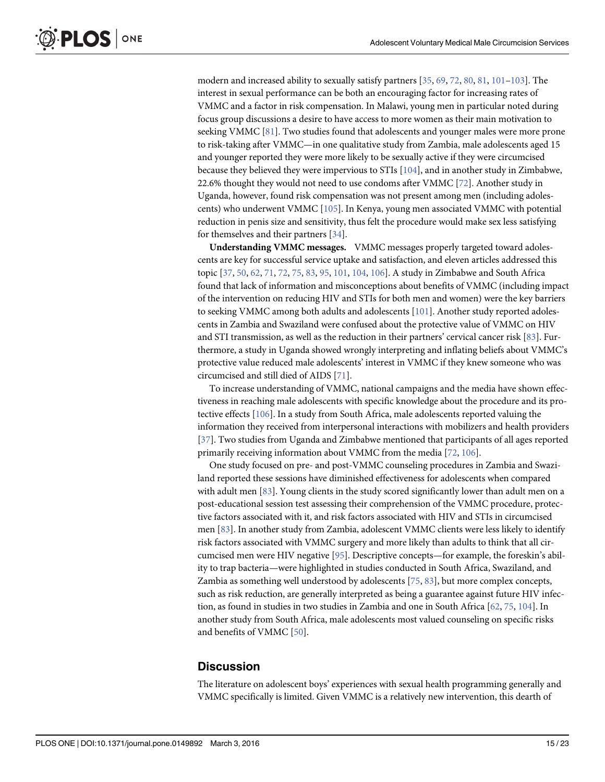<span id="page-14-0"></span>modern and increased ability to sexually satisfy partners [\[35](#page-19-0), [69](#page-20-0), [72](#page-20-0), [80,](#page-21-0) [81](#page-21-0), [101](#page-22-0)–[103](#page-22-0)]. The interest in sexual performance can be both an encouraging factor for increasing rates of VMMC and a factor in risk compensation. In Malawi, young men in particular noted during focus group discussions a desire to have access to more women as their main motivation to seeking VMMC [[81](#page-21-0)]. Two studies found that adolescents and younger males were more prone to risk-taking after VMMC—in one qualitative study from Zambia, male adolescents aged 15 and younger reported they were more likely to be sexually active if they were circumcised because they believed they were impervious to STIs [[104](#page-22-0)], and in another study in Zimbabwe, 22.6% thought they would not need to use condoms after VMMC [[72](#page-20-0)]. Another study in Uganda, however, found risk compensation was not present among men (including adolescents) who underwent VMMC [[105\]](#page-22-0). In Kenya, young men associated VMMC with potential reduction in penis size and sensitivity, thus felt the procedure would make sex less satisfying for themselves and their partners [\[34\]](#page-18-0).

Understanding VMMC messages. VMMC messages properly targeted toward adolescents are key for successful service uptake and satisfaction, and eleven articles addressed this topic [[37](#page-19-0), [50](#page-19-0), [62](#page-20-0), [71](#page-20-0), [72](#page-20-0), [75](#page-21-0), [83](#page-21-0), [95](#page-22-0), [101,](#page-22-0) [104,](#page-22-0) [106](#page-22-0)]. A study in Zimbabwe and South Africa found that lack of information and misconceptions about benefits of VMMC (including impact of the intervention on reducing HIV and STIs for both men and women) were the key barriers to seeking VMMC among both adults and adolescents [\[101](#page-22-0)]. Another study reported adolescents in Zambia and Swaziland were confused about the protective value of VMMC on HIV and STI transmission, as well as the reduction in their partners' cervical cancer risk [[83\]](#page-21-0). Furthermore, a study in Uganda showed wrongly interpreting and inflating beliefs about VMMC's protective value reduced male adolescents' interest in VMMC if they knew someone who was circumcised and still died of AIDS [\[71\]](#page-20-0).

To increase understanding of VMMC, national campaigns and the media have shown effectiveness in reaching male adolescents with specific knowledge about the procedure and its protective effects [[106](#page-22-0)]. In a study from South Africa, male adolescents reported valuing the information they received from interpersonal interactions with mobilizers and health providers [\[37](#page-19-0)]. Two studies from Uganda and Zimbabwe mentioned that participants of all ages reported primarily receiving information about VMMC from the media [\[72,](#page-20-0) [106](#page-22-0)].

One study focused on pre- and post-VMMC counseling procedures in Zambia and Swaziland reported these sessions have diminished effectiveness for adolescents when compared with adult men [[83](#page-21-0)]. Young clients in the study scored significantly lower than adult men on a post-educational session test assessing their comprehension of the VMMC procedure, protective factors associated with it, and risk factors associated with HIV and STIs in circumcised men [\[83\]](#page-21-0). In another study from Zambia, adolescent VMMC clients were less likely to identify risk factors associated with VMMC surgery and more likely than adults to think that all circumcised men were HIV negative [\[95\]](#page-22-0). Descriptive concepts—for example, the foreskin's ability to trap bacteria—were highlighted in studies conducted in South Africa, Swaziland, and Zambia as something well understood by adolescents [[75](#page-21-0), [83](#page-21-0)], but more complex concepts, such as risk reduction, are generally interpreted as being a guarantee against future HIV infection, as found in studies in two studies in Zambia and one in South Africa [\[62,](#page-20-0) [75,](#page-21-0) [104\]](#page-22-0). In another study from South Africa, male adolescents most valued counseling on specific risks and benefits of VMMC [\[50\]](#page-19-0).

## **Discussion**

The literature on adolescent boys' experiences with sexual health programming generally and VMMC specifically is limited. Given VMMC is a relatively new intervention, this dearth of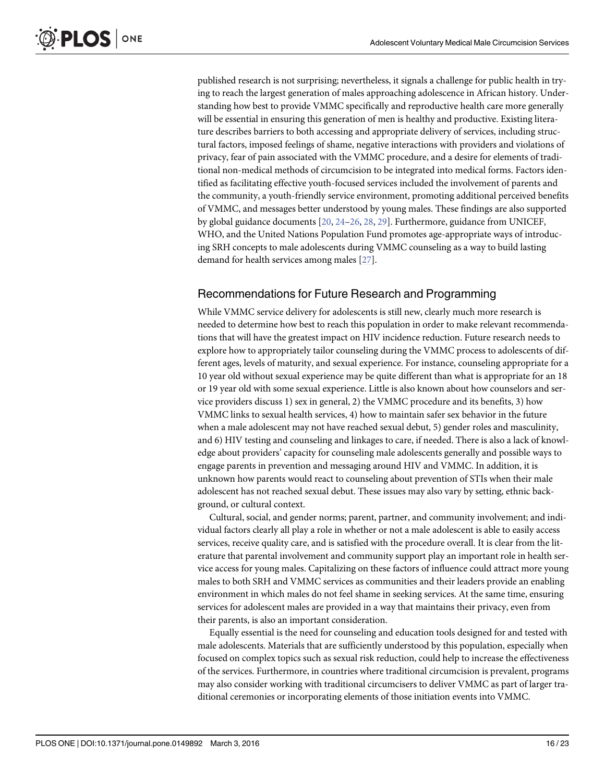<span id="page-15-0"></span>published research is not surprising; nevertheless, it signals a challenge for public health in trying to reach the largest generation of males approaching adolescence in African history. Understanding how best to provide VMMC specifically and reproductive health care more generally will be essential in ensuring this generation of men is healthy and productive. Existing literature describes barriers to both accessing and appropriate delivery of services, including structural factors, imposed feelings of shame, negative interactions with providers and violations of privacy, fear of pain associated with the VMMC procedure, and a desire for elements of traditional non-medical methods of circumcision to be integrated into medical forms. Factors identified as facilitating effective youth-focused services included the involvement of parents and the community, a youth-friendly service environment, promoting additional perceived benefits of VMMC, and messages better understood by young males. These findings are also supported by global guidance documents [[20](#page-18-0), [24](#page-18-0)–[26,](#page-18-0) [28,](#page-18-0) [29\]](#page-18-0). Furthermore, guidance from UNICEF, WHO, and the United Nations Population Fund promotes age-appropriate ways of introducing SRH concepts to male adolescents during VMMC counseling as a way to build lasting demand for health services among males [\[27](#page-18-0)].

# Recommendations for Future Research and Programming

While VMMC service delivery for adolescents is still new, clearly much more research is needed to determine how best to reach this population in order to make relevant recommendations that will have the greatest impact on HIV incidence reduction. Future research needs to explore how to appropriately tailor counseling during the VMMC process to adolescents of different ages, levels of maturity, and sexual experience. For instance, counseling appropriate for a 10 year old without sexual experience may be quite different than what is appropriate for an 18 or 19 year old with some sexual experience. Little is also known about how counselors and service providers discuss 1) sex in general, 2) the VMMC procedure and its benefits, 3) how VMMC links to sexual health services, 4) how to maintain safer sex behavior in the future when a male adolescent may not have reached sexual debut, 5) gender roles and masculinity, and 6) HIV testing and counseling and linkages to care, if needed. There is also a lack of knowledge about providers' capacity for counseling male adolescents generally and possible ways to engage parents in prevention and messaging around HIV and VMMC. In addition, it is unknown how parents would react to counseling about prevention of STIs when their male adolescent has not reached sexual debut. These issues may also vary by setting, ethnic background, or cultural context.

Cultural, social, and gender norms; parent, partner, and community involvement; and individual factors clearly all play a role in whether or not a male adolescent is able to easily access services, receive quality care, and is satisfied with the procedure overall. It is clear from the literature that parental involvement and community support play an important role in health service access for young males. Capitalizing on these factors of influence could attract more young males to both SRH and VMMC services as communities and their leaders provide an enabling environment in which males do not feel shame in seeking services. At the same time, ensuring services for adolescent males are provided in a way that maintains their privacy, even from their parents, is also an important consideration.

Equally essential is the need for counseling and education tools designed for and tested with male adolescents. Materials that are sufficiently understood by this population, especially when focused on complex topics such as sexual risk reduction, could help to increase the effectiveness of the services. Furthermore, in countries where traditional circumcision is prevalent, programs may also consider working with traditional circumcisers to deliver VMMC as part of larger traditional ceremonies or incorporating elements of those initiation events into VMMC.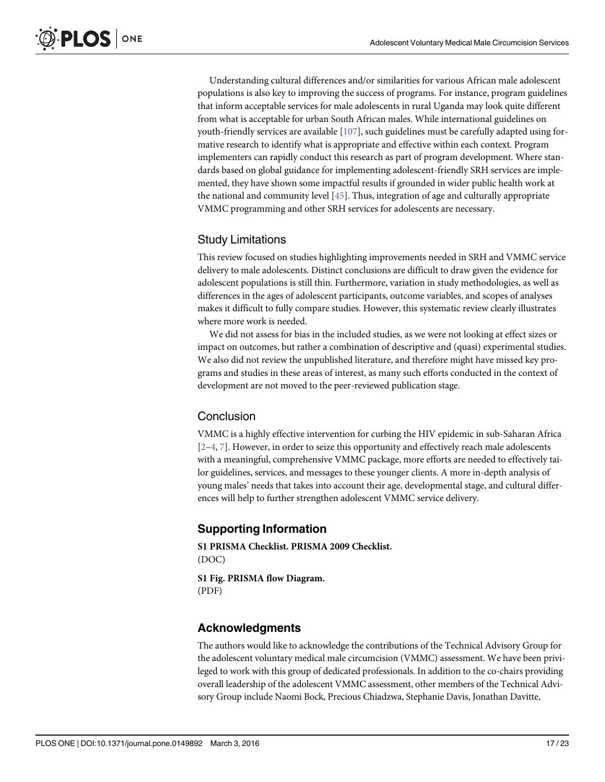<span id="page-16-0"></span>Understanding cultural differences and/or similarities for various African male adolescent populations is also key to improving the success of programs. For instance, program guidelines that inform acceptable services for male adolescents in rural Uganda may look quite different from what is acceptable for urban South African males. While international guidelines on youth-friendly services are available [\[107\]](#page-22-0), such guidelines must be carefully adapted using formative research to identify what is appropriate and effective within each context. Program implementers can rapidly conduct this research as part of program development. Where standards based on global guidance for implementing adolescent-friendly SRH services are implemented, they have shown some impactful results if grounded in wider public health work at the national and community level  $[45]$  $[45]$ . Thus, integration of age and culturally appropriate VMMC programming and other SRH services for adolescents are necessary.

# Study Limitations

This review focused on studies highlighting improvements needed in SRH and VMMC service delivery to male adolescents. Distinct conclusions are difficult to draw given the evidence for adolescent populations is still thin. Furthermore, variation in study methodologies, as well as differences in the ages of adolescent participants, outcome variables, and scopes of analyses makes it difficult to fully compare studies. However, this systematic review clearly illustrates where more work is needed.

We did not assess for bias in the included studies, as we were not looking at effect sizes or impact on outcomes, but rather a combination of descriptive and (quasi) experimental studies. We also did not review the unpublished literature, and therefore might have missed key programs and studies in these areas of interest, as many such efforts conducted in the context of development are not moved to the peer-reviewed publication stage.

# Conclusion

VMMC is a highly effective intervention for curbing the HIV epidemic in sub-Saharan Africa  $[2-4, 7]$  $[2-4, 7]$  $[2-4, 7]$  $[2-4, 7]$  $[2-4, 7]$  $[2-4, 7]$ . However, in order to seize this opportunity and effectively reach male adolescents with a meaningful, comprehensive VMMC package, more efforts are needed to effectively tailor guidelines, services, and messages to these younger clients. A more in-depth analysis of young males' needs that takes into account their age, developmental stage, and cultural differences will help to further strengthen adolescent VMMC service delivery.

# Supporting Information

[S1 PRISMA Checklist.](http://www.plosone.org/article/fetchSingleRepresentation.action?uri=info:doi/10.1371/journal.pone.0149892.s001) PRISMA 2009 Checklist. (DOC)

[S1 Fig.](http://www.plosone.org/article/fetchSingleRepresentation.action?uri=info:doi/10.1371/journal.pone.0149892.s002) PRISMA flow Diagram. (PDF)

# Acknowledgments

The authors would like to acknowledge the contributions of the Technical Advisory Group for the adolescent voluntary medical male circumcision (VMMC) assessment. We have been privileged to work with this group of dedicated professionals. In addition to the co-chairs providing overall leadership of the adolescent VMMC assessment, other members of the Technical Advisory Group include Naomi Bock, Precious Chiadzwa, Stephanie Davis, Jonathan Davitte,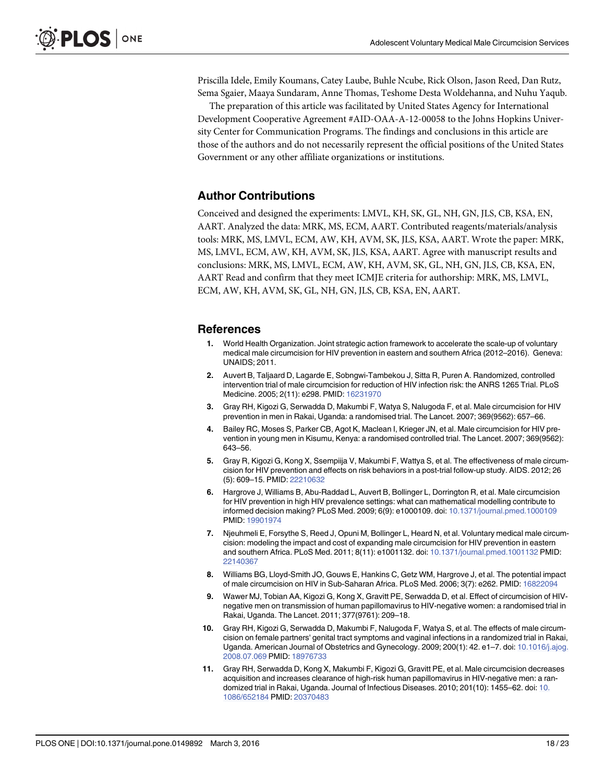<span id="page-17-0"></span>Priscilla Idele, Emily Koumans, Catey Laube, Buhle Ncube, Rick Olson, Jason Reed, Dan Rutz, Sema Sgaier, Maaya Sundaram, Anne Thomas, Teshome Desta Woldehanna, and Nuhu Yaqub.

The preparation of this article was facilitated by United States Agency for International Development Cooperative Agreement #AID-OAA-A-12-00058 to the Johns Hopkins University Center for Communication Programs. The findings and conclusions in this article are those of the authors and do not necessarily represent the official positions of the United States Government or any other affiliate organizations or institutions.

# Author Contributions

Conceived and designed the experiments: LMVL, KH, SK, GL, NH, GN, JLS, CB, KSA, EN, AART. Analyzed the data: MRK, MS, ECM, AART. Contributed reagents/materials/analysis tools: MRK, MS, LMVL, ECM, AW, KH, AVM, SK, JLS, KSA, AART. Wrote the paper: MRK, MS, LMVL, ECM, AW, KH, AVM, SK, JLS, KSA, AART. Agree with manuscript results and conclusions: MRK, MS, LMVL, ECM, AW, KH, AVM, SK, GL, NH, GN, JLS, CB, KSA, EN, AART Read and confirm that they meet ICMJE criteria for authorship: MRK, MS, LMVL, ECM, AW, KH, AVM, SK, GL, NH, GN, JLS, CB, KSA, EN, AART.

#### References

- [1.](#page-1-0) World Health Organization. Joint strategic action framework to accelerate the scale-up of voluntary medical male circumcision for HIV prevention in eastern and southern Africa (2012–2016). Geneva: UNAIDS; 2011.
- [2.](#page-1-0) Auvert B, Taljaard D, Lagarde E, Sobngwi-Tambekou J, Sitta R, Puren A. Randomized, controlled intervention trial of male circumcision for reduction of HIV infection risk: the ANRS 1265 Trial. PLoS Medicine. 2005; 2(11): e298. PMID: [16231970](http://www.ncbi.nlm.nih.gov/pubmed/16231970)
- 3. Gray RH, Kigozi G, Serwadda D, Makumbi F, Watya S, Nalugoda F, et al. Male circumcision for HIV prevention in men in Rakai, Uganda: a randomised trial. The Lancet. 2007; 369(9562): 657–66.
- [4.](#page-1-0) Bailey RC, Moses S, Parker CB, Agot K, Maclean I, Krieger JN, et al. Male circumcision for HIV prevention in young men in Kisumu, Kenya: a randomised controlled trial. The Lancet. 2007; 369(9562): 643–56.
- [5.](#page-1-0) Gray R, Kigozi G, Kong X, Ssempiija V, Makumbi F, Wattya S, et al. The effectiveness of male circumcision for HIV prevention and effects on risk behaviors in a post-trial follow-up study. AIDS. 2012; 26 (5): 609–15. PMID: [22210632](http://www.ncbi.nlm.nih.gov/pubmed/22210632)
- [6.](#page-1-0) Hargrove J, Williams B, Abu-Raddad L, Auvert B, Bollinger L, Dorrington R, et al. Male circumcision for HIV prevention in high HIV prevalence settings: what can mathematical modelling contribute to informed decision making? PLoS Med. 2009; 6(9): e1000109. doi: [10.1371/journal.pmed.1000109](http://dx.doi.org/10.1371/journal.pmed.1000109) PMID: [19901974](http://www.ncbi.nlm.nih.gov/pubmed/19901974)
- [7.](#page-1-0) Njeuhmeli E, Forsythe S, Reed J, Opuni M, Bollinger L, Heard N, et al. Voluntary medical male circumcision: modeling the impact and cost of expanding male circumcision for HIV prevention in eastern and southern Africa. PLoS Med. 2011; 8(11): e1001132. doi: [10.1371/journal.pmed.1001132](http://dx.doi.org/10.1371/journal.pmed.1001132) PMID: [22140367](http://www.ncbi.nlm.nih.gov/pubmed/22140367)
- [8.](#page-1-0) Williams BG, Lloyd-Smith JO, Gouws E, Hankins C, Getz WM, Hargrove J, et al. The potential impact of male circumcision on HIV in Sub-Saharan Africa. PLoS Med. 2006; 3(7): e262. PMID: [16822094](http://www.ncbi.nlm.nih.gov/pubmed/16822094)
- [9.](#page-1-0) Wawer MJ, Tobian AA, Kigozi G, Kong X, Gravitt PE, Serwadda D, et al. Effect of circumcision of HIVnegative men on transmission of human papillomavirus to HIV-negative women: a randomised trial in Rakai, Uganda. The Lancet. 2011; 377(9761): 209–18.
- 10. Gray RH, Kigozi G, Serwadda D, Makumbi F, Nalugoda F, Watya S, et al. The effects of male circumcision on female partners' genital tract symptoms and vaginal infections in a randomized trial in Rakai, Uganda. American Journal of Obstetrics and Gynecology. 2009; 200(1): 42. e1-7. doi: [10.1016/j.ajog.](http://dx.doi.org/10.1016/j.ajog.2008.07.069) [2008.07.069](http://dx.doi.org/10.1016/j.ajog.2008.07.069) PMID: [18976733](http://www.ncbi.nlm.nih.gov/pubmed/18976733)
- 11. Gray RH, Serwadda D, Kong X, Makumbi F, Kigozi G, Gravitt PE, et al. Male circumcision decreases acquisition and increases clearance of high-risk human papillomavirus in HIV-negative men: a randomized trial in Rakai, Uganda. Journal of Infectious Diseases. 2010; 201(10): 1455–62. doi: [10.](http://dx.doi.org/10.1086/652184) [1086/652184](http://dx.doi.org/10.1086/652184) PMID: [20370483](http://www.ncbi.nlm.nih.gov/pubmed/20370483)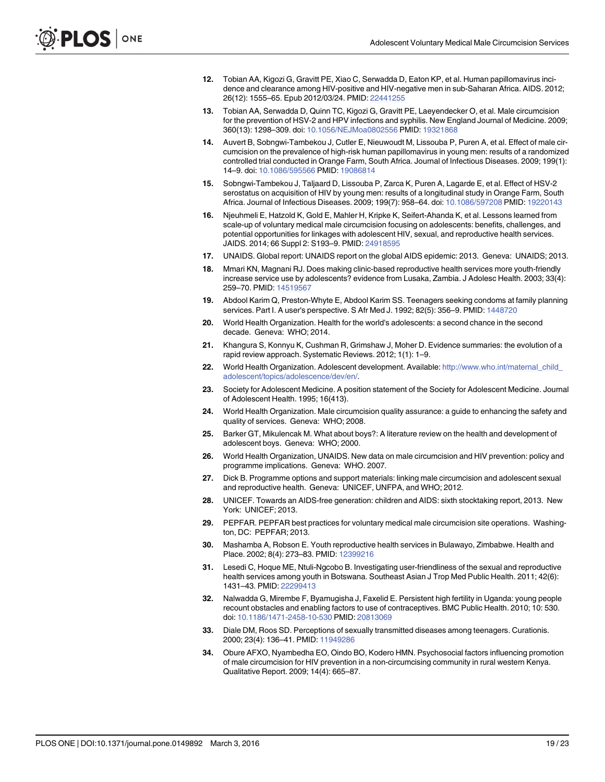- <span id="page-18-0"></span>12. Tobian AA, Kigozi G, Gravitt PE, Xiao C, Serwadda D, Eaton KP, et al. Human papillomavirus incidence and clearance among HIV-positive and HIV-negative men in sub-Saharan Africa. AIDS. 2012; 26(12): 1555–65. Epub 2012/03/24. PMID: [22441255](http://www.ncbi.nlm.nih.gov/pubmed/22441255)
- 13. Tobian AA, Serwadda D, Quinn TC, Kigozi G, Gravitt PE, Laeyendecker O, et al. Male circumcision for the prevention of HSV-2 and HPV infections and syphilis. New England Journal of Medicine. 2009; 360(13): 1298–309. doi: [10.1056/NEJMoa0802556](http://dx.doi.org/10.1056/NEJMoa0802556) PMID: [19321868](http://www.ncbi.nlm.nih.gov/pubmed/19321868)
- 14. Auvert B, Sobngwi-Tambekou J, Cutler E, Nieuwoudt M, Lissouba P, Puren A, et al. Effect of male circumcision on the prevalence of high-risk human papillomavirus in young men: results of a randomized controlled trial conducted in Orange Farm, South Africa. Journal of Infectious Diseases. 2009; 199(1): 14–9. doi: [10.1086/595566](http://dx.doi.org/10.1086/595566) PMID: [19086814](http://www.ncbi.nlm.nih.gov/pubmed/19086814)
- [15.](#page-1-0) Sobngwi-Tambekou J, Taljaard D, Lissouba P, Zarca K, Puren A, Lagarde E, et al. Effect of HSV-2 serostatus on acquisition of HIV by young men: results of a longitudinal study in Orange Farm, South Africa. Journal of Infectious Diseases. 2009; 199(7): 958–64. doi: [10.1086/597208](http://dx.doi.org/10.1086/597208) PMID: [19220143](http://www.ncbi.nlm.nih.gov/pubmed/19220143)
- [16.](#page-1-0) Njeuhmeli E, Hatzold K, Gold E, Mahler H, Kripke K, Seifert-Ahanda K, et al. Lessons learned from scale-up of voluntary medical male circumcision focusing on adolescents: benefits, challenges, and potential opportunities for linkages with adolescent HIV, sexual, and reproductive health services. JAIDS. 2014; 66 Suppl 2: S193–9. PMID: [24918595](http://www.ncbi.nlm.nih.gov/pubmed/24918595)
- [17.](#page-1-0) UNAIDS. Global report: UNAIDS report on the global AIDS epidemic: 2013. Geneva: UNAIDS; 2013.
- [18.](#page-1-0) Mmari KN, Magnani RJ. Does making clinic-based reproductive health services more youth-friendly increase service use by adolescents? evidence from Lusaka, Zambia. J Adolesc Health. 2003; 33(4): 259–70. PMID: [14519567](http://www.ncbi.nlm.nih.gov/pubmed/14519567)
- [19.](#page-4-0) Abdool Karim Q, Preston-Whyte E, Abdool Karim SS. Teenagers seeking condoms at family planning services. Part I. A user's perspective. S Afr Med J. 1992; 82(5): 356–9. PMID: [1448720](http://www.ncbi.nlm.nih.gov/pubmed/1448720)
- [20.](#page-1-0) World Health Organization. Health for the world's adolescents: a second chance in the second decade. Geneva: WHO; 2014.
- [21.](#page-2-0) Khangura S, Konnyu K, Cushman R, Grimshaw J, Moher D. Evidence summaries: the evolution of a rapid review approach. Systematic Reviews. 2012; 1(1): 1–9.
- [22.](#page-2-0) World Health Organization. Adolescent development. Available: [http://www.who.int/maternal\\_child\\_](http://www.who.int/maternal_child_adolescent/topics/adolescence/dev/en/) [adolescent/topics/adolescence/dev/en/.](http://www.who.int/maternal_child_adolescent/topics/adolescence/dev/en/)
- [23.](#page-3-0) Society for Adolescent Medicine. A position statement of the Society for Adolescent Medicine. Journal of Adolescent Health. 1995; 16(413).
- [24.](#page-4-0) World Health Organization. Male circumcision quality assurance: a guide to enhancing the safety and quality of services. Geneva: WHO; 2008.
- 25. Barker GT, Mikulencak M. What about boys?: A literature review on the health and development of adolescent boys. Geneva: WHO; 2000.
- [26.](#page-15-0) World Health Organization, UNAIDS. New data on male circumcision and HIV prevention: policy and programme implications. Geneva: WHO. 2007.
- [27.](#page-4-0) Dick B. Programme options and support materials: linking male circumcision and adolescent sexual and reproductive health. Geneva: UNICEF, UNFPA, and WHO; 2012.
- [28.](#page-4-0) UNICEF. Towards an AIDS-free generation: children and AIDS: sixth stocktaking report, 2013. New York: UNICEF; 2013.
- [29.](#page-4-0) PEPFAR. PEPFAR best practices for voluntary medical male circumcision site operations. Washington, DC: PEPFAR; 2013.
- [30.](#page-4-0) Mashamba A, Robson E. Youth reproductive health services in Bulawayo, Zimbabwe. Health and Place. 2002; 8(4): 273–83. PMID: [12399216](http://www.ncbi.nlm.nih.gov/pubmed/12399216)
- [31.](#page-4-0) Lesedi C, Hoque ME, Ntuli-Ngcobo B. Investigating user-friendliness of the sexual and reproductive health services among youth in Botswana. Southeast Asian J Trop Med Public Health. 2011; 42(6): 1431–43. PMID: [22299413](http://www.ncbi.nlm.nih.gov/pubmed/22299413)
- [32.](#page-10-0) Nalwadda G, Mirembe F, Byamugisha J, Faxelid E. Persistent high fertility in Uganda: young people recount obstacles and enabling factors to use of contraceptives. BMC Public Health. 2010; 10: 530. doi: [10.1186/1471-2458-10-530](http://dx.doi.org/10.1186/1471-2458-10-530) PMID: [20813069](http://www.ncbi.nlm.nih.gov/pubmed/20813069)
- [33.](#page-4-0) Diale DM, Roos SD. Perceptions of sexually transmitted diseases among teenagers. Curationis. 2000; 23(4): 136-41. PMID: [11949286](http://www.ncbi.nlm.nih.gov/pubmed/11949286)
- [34.](#page-4-0) Obure AFXO, Nyambedha EO, Oindo BO, Kodero HMN. Psychosocial factors influencing promotion of male circumcision for HIV prevention in a non-circumcising community in rural western Kenya. Qualitative Report. 2009; 14(4): 665–87.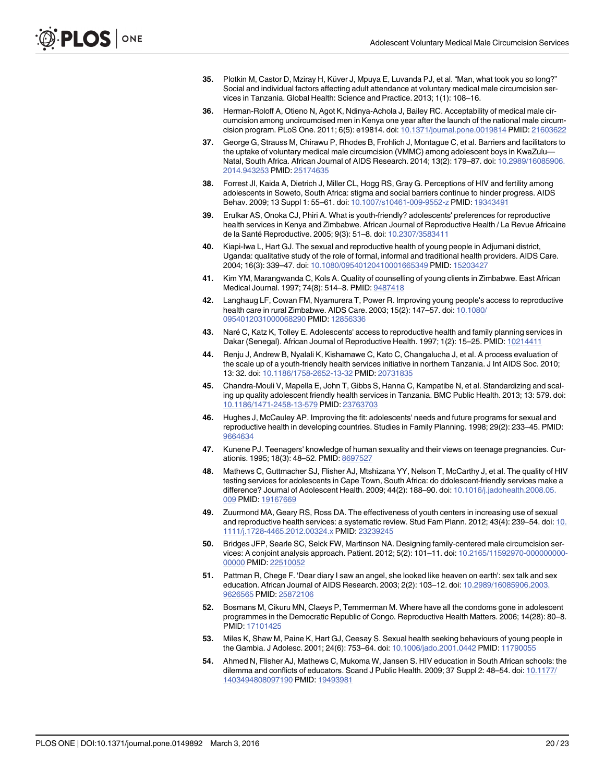- <span id="page-19-0"></span>[35.](#page-11-0) Plotkin M, Castor D, Mziray H, Küver J, Mpuya E, Luvanda PJ, et al. "Man, what took you so long?" Social and individual factors affecting adult attendance at voluntary medical male circumcision services in Tanzania. Global Health: Science and Practice. 2013; 1(1): 108–16.
- [36.](#page-4-0) Herman-Roloff A, Otieno N, Agot K, Ndinya-Achola J, Bailey RC. Acceptability of medical male circumcision among uncircumcised men in Kenya one year after the launch of the national male circumcision program. PLoS One. 2011; 6(5): e19814. doi: [10.1371/journal.pone.0019814](http://dx.doi.org/10.1371/journal.pone.0019814) PMID: [21603622](http://www.ncbi.nlm.nih.gov/pubmed/21603622)
- [37.](#page-4-0) George G, Strauss M, Chirawu P, Rhodes B, Frohlich J, Montague C, et al. Barriers and facilitators to the uptake of voluntary medical male circumcision (VMMC) among adolescent boys in KwaZulu— Natal, South Africa. African Journal of AIDS Research. 2014; 13(2): 179–87. doi: [10.2989/16085906.](http://dx.doi.org/10.2989/16085906.2014.943253) [2014.943253](http://dx.doi.org/10.2989/16085906.2014.943253) PMID: [25174635](http://www.ncbi.nlm.nih.gov/pubmed/25174635)
- [38.](#page-4-0) Forrest Jl, Kaida A, Dietrich J, Miller CL, Hogg RS, Gray G. Perceptions of HIV and fertility among adolescents in Soweto, South Africa: stigma and social barriers continue to hinder progress. AIDS Behav. 2009; 13 Suppl 1: 55–61. doi: [10.1007/s10461-009-9552-z](http://dx.doi.org/10.1007/s10461-009-9552-z) PMID: [19343491](http://www.ncbi.nlm.nih.gov/pubmed/19343491)
- [39.](#page-4-0) Erulkar AS, Onoka CJ, Phiri A. What is youth-friendly? adolescents' preferences for reproductive health services in Kenya and Zimbabwe. African Journal of Reproductive Health / La Revue Africaine de la Santé Reproductive. 2005; 9(3): 51–8. doi: [10.2307/3583411](http://dx.doi.org/10.2307/3583411)
- [40.](#page-4-0) Kiapi-Iwa L, Hart GJ. The sexual and reproductive health of young people in Adjumani district, Uganda: qualitative study of the role of formal, informal and traditional health providers. AIDS Care. 2004; 16(3): 339–47. doi: [10.1080/09540120410001665349](http://dx.doi.org/10.1080/09540120410001665349) PMID: [15203427](http://www.ncbi.nlm.nih.gov/pubmed/15203427)
- [41.](#page-11-0) Kim YM, Marangwanda C, Kols A. Quality of counselling of young clients in Zimbabwe. East African Medical Journal. 1997; 74(8): 514–8. PMID: [9487418](http://www.ncbi.nlm.nih.gov/pubmed/9487418)
- [42.](#page-4-0) Langhaug LF, Cowan FM, Nyamurera T, Power R. Improving young people's access to reproductive health care in rural Zimbabwe. AIDS Care. 2003; 15(2): 147–57. doi: [10.1080/](http://dx.doi.org/10.1080/0954012031000068290) [0954012031000068290](http://dx.doi.org/10.1080/0954012031000068290) PMID: [12856336](http://www.ncbi.nlm.nih.gov/pubmed/12856336)
- [43.](#page-10-0) Naré C, Katz K, Tolley E. Adolescents' access to reproductive health and family planning services in Dakar (Senegal). African Journal of Reproductive Health. 1997; 1(2): 15–25. PMID: [10214411](http://www.ncbi.nlm.nih.gov/pubmed/10214411)
- [44.](#page-11-0) Renju J, Andrew B, Nyalali K, Kishamawe C, Kato C, Changalucha J, et al. A process evaluation of the scale up of a youth-friendly health services initiative in northern Tanzania. J Int AIDS Soc. 2010; 13: 32. doi: [10.1186/1758-2652-13-32](http://dx.doi.org/10.1186/1758-2652-13-32) PMID: [20731835](http://www.ncbi.nlm.nih.gov/pubmed/20731835)
- [45.](#page-16-0) Chandra-Mouli V, Mapella E, John T, Gibbs S, Hanna C, Kampatibe N, et al. Standardizing and scaling up quality adolescent friendly health services in Tanzania. BMC Public Health. 2013; 13: 579. doi: [10.1186/1471-2458-13-579](http://dx.doi.org/10.1186/1471-2458-13-579) PMID: [23763703](http://www.ncbi.nlm.nih.gov/pubmed/23763703)
- [46.](#page-4-0) Hughes J, McCauley AP. Improving the fit: adolescents' needs and future programs for sexual and reproductive health in developing countries. Studies in Family Planning. 1998; 29(2): 233–45. PMID: [9664634](http://www.ncbi.nlm.nih.gov/pubmed/9664634)
- [47.](#page-4-0) Kunene PJ. Teenagers' knowledge of human sexuality and their views on teenage pregnancies. Curationis. 1995; 18(3): 48–52. PMID: [8697527](http://www.ncbi.nlm.nih.gov/pubmed/8697527)
- [48.](#page-4-0) Mathews C, Guttmacher SJ, Flisher AJ, Mtshizana YY, Nelson T, McCarthy J, et al. The quality of HIV testing services for adolescents in Cape Town, South Africa: do ddolescent-friendly services make a difference? Journal of Adolescent Health. 2009; 44(2): 188–90. doi: [10.1016/j.jadohealth.2008.05.](http://dx.doi.org/10.1016/j.jadohealth.2008.05.009) [009](http://dx.doi.org/10.1016/j.jadohealth.2008.05.009) PMID: [19167669](http://www.ncbi.nlm.nih.gov/pubmed/19167669)
- [49.](#page-4-0) Zuurmond MA, Geary RS, Ross DA. The effectiveness of youth centers in increasing use of sexual and reproductive health services: a systematic review. Stud Fam Plann. 2012; 43(4): 239–54. doi: [10.](http://dx.doi.org/10.1111/j.1728-4465.2012.00324.x) [1111/j.1728-4465.2012.00324.x](http://dx.doi.org/10.1111/j.1728-4465.2012.00324.x) PMID: [23239245](http://www.ncbi.nlm.nih.gov/pubmed/23239245)
- [50.](#page-4-0) Bridges JFP, Searle SC, Selck FW, Martinson NA. Designing family-centered male circumcision services: A conjoint analysis approach. Patient. 2012; 5(2): 101–11. doi: [10.2165/11592970-000000000-](http://dx.doi.org/10.2165/11592970-000000000-00000) [00000](http://dx.doi.org/10.2165/11592970-000000000-00000) PMID: [22510052](http://www.ncbi.nlm.nih.gov/pubmed/22510052)
- [51.](#page-4-0) Pattman R, Chege F. 'Dear diary I saw an angel, she looked like heaven on earth': sex talk and sex education. African Journal of AIDS Research. 2003; 2(2): 103–12. doi: [10.2989/16085906.2003.](http://dx.doi.org/10.2989/16085906.2003.9626565) [9626565](http://dx.doi.org/10.2989/16085906.2003.9626565) PMID: [25872106](http://www.ncbi.nlm.nih.gov/pubmed/25872106)
- [52.](#page-10-0) Bosmans M, Cikuru MN, Claeys P, Temmerman M. Where have all the condoms gone in adolescent programmes in the Democratic Republic of Congo. Reproductive Health Matters. 2006; 14(28): 80–8. PMID: [17101425](http://www.ncbi.nlm.nih.gov/pubmed/17101425)
- [53.](#page-10-0) Miles K, Shaw M, Paine K, Hart GJ, Ceesay S. Sexual health seeking behaviours of young people in the Gambia. J Adolesc. 2001; 24(6): 753–64. doi: [10.1006/jado.2001.0442](http://dx.doi.org/10.1006/jado.2001.0442) PMID: [11790055](http://www.ncbi.nlm.nih.gov/pubmed/11790055)
- [54.](#page-10-0) Ahmed N, Flisher AJ, Mathews C, Mukoma W, Jansen S. HIV education in South African schools: the dilemma and conflicts of educators. Scand J Public Health. 2009; 37 Suppl 2: 48–54. doi: [10.1177/](http://dx.doi.org/10.1177/1403494808097190) [1403494808097190](http://dx.doi.org/10.1177/1403494808097190) PMID: [19493981](http://www.ncbi.nlm.nih.gov/pubmed/19493981)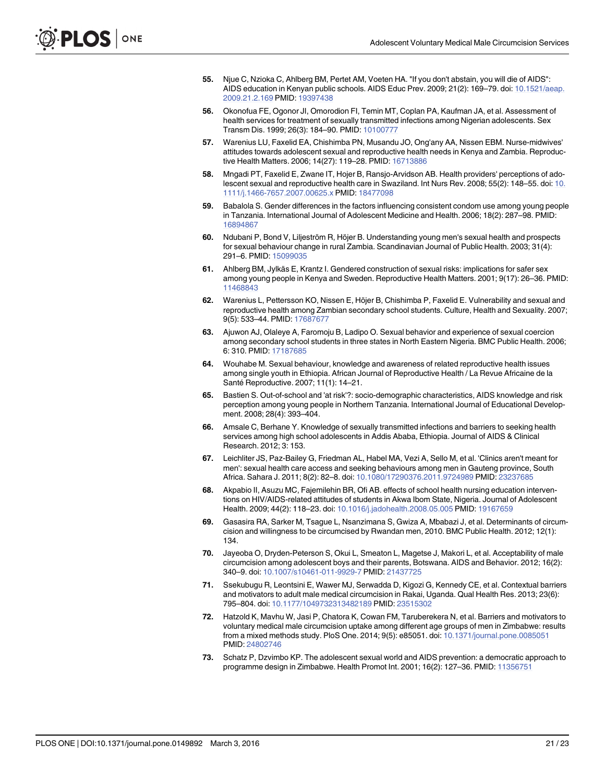- <span id="page-20-0"></span>[55.](#page-10-0) Njue C, Nzioka C, Ahlberg BM, Pertet AM, Voeten HA. "If you don't abstain, you will die of AIDS": AIDS education in Kenyan public schools. AIDS Educ Prev. 2009; 21(2): 169–79. doi: [10.1521/aeap.](http://dx.doi.org/10.1521/aeap.2009.21.2.169) [2009.21.2.169](http://dx.doi.org/10.1521/aeap.2009.21.2.169) PMID: [19397438](http://www.ncbi.nlm.nih.gov/pubmed/19397438)
- [56.](#page-10-0) Okonofua FE, Ogonor JI, Omorodion FI, Temin MT, Coplan PA, Kaufman JA, et al. Assessment of health services for treatment of sexually transmitted infections among Nigerian adolescents. Sex Transm Dis. 1999; 26(3): 184-90. PMID: [10100777](http://www.ncbi.nlm.nih.gov/pubmed/10100777)
- [57.](#page-11-0) Warenius LU, Faxelid EA, Chishimba PN, Musandu JO, Ong'any AA, Nissen EBM. Nurse-midwives' attitudes towards adolescent sexual and reproductive health needs in Kenya and Zambia. Reproductive Health Matters. 2006; 14(27): 119–28. PMID: [16713886](http://www.ncbi.nlm.nih.gov/pubmed/16713886)
- [58.](#page-11-0) Mngadi PT, Faxelid E, Zwane IT, Hojer B, Ransjo-Arvidson AB. Health providers' perceptions of adolescent sexual and reproductive health care in Swaziland. Int Nurs Rev. 2008; 55(2): 148–55. doi: [10.](http://dx.doi.org/10.1111/j.1466-7657.2007.00625.x) [1111/j.1466-7657.2007.00625.x](http://dx.doi.org/10.1111/j.1466-7657.2007.00625.x) PMID: [18477098](http://www.ncbi.nlm.nih.gov/pubmed/18477098)
- [59.](#page-11-0) Babalola S. Gender differences in the factors influencing consistent condom use among young people in Tanzania. International Journal of Adolescent Medicine and Health. 2006; 18(2): 287–98. PMID: [16894867](http://www.ncbi.nlm.nih.gov/pubmed/16894867)
- [60.](#page-11-0) Ndubani P, Bond V, Liljeström R, Höjer B. Understanding young men's sexual health and prospects for sexual behaviour change in rural Zambia. Scandinavian Journal of Public Health. 2003; 31(4): 291–6. PMID: [15099035](http://www.ncbi.nlm.nih.gov/pubmed/15099035)
- 61. Ahlberg BM, Jylkäs E, Krantz I. Gendered construction of sexual risks: implications for safer sex among young people in Kenya and Sweden. Reproductive Health Matters. 2001; 9(17): 26–36. PMID: [11468843](http://www.ncbi.nlm.nih.gov/pubmed/11468843)
- [62.](#page-12-0) Warenius L, Pettersson KO, Nissen E, Höjer B, Chishimba P, Faxelid E. Vulnerability and sexual and reproductive health among Zambian secondary school students. Culture, Health and Sexuality. 2007; 9(5): 533–44. PMID: [17687677](http://www.ncbi.nlm.nih.gov/pubmed/17687677)
- 63. Ajuwon AJ, Olaleye A, Faromoju B, Ladipo O. Sexual behavior and experience of sexual coercion among secondary school students in three states in North Eastern Nigeria. BMC Public Health. 2006; 6: 310. PMID: [17187685](http://www.ncbi.nlm.nih.gov/pubmed/17187685)
- [64.](#page-11-0) Wouhabe M. Sexual behaviour, knowledge and awareness of related reproductive health issues among single youth in Ethiopia. African Journal of Reproductive Health / La Revue Africaine de la Santé Reproductive. 2007; 11(1): 14–21.
- [65.](#page-11-0) Bastien S. Out-of-school and 'at risk'?: socio-demographic characteristics, AIDS knowledge and risk perception among young people in Northern Tanzania. International Journal of Educational Development. 2008; 28(4): 393–404.
- [66.](#page-11-0) Amsale C, Berhane Y. Knowledge of sexually transmitted infections and barriers to seeking health services among high school adolescents in Addis Ababa, Ethiopia. Journal of AIDS & Clinical Research. 2012; 3: 153.
- [67.](#page-11-0) Leichliter JS, Paz-Bailey G, Friedman AL, Habel MA, Vezi A, Sello M, et al. 'Clinics aren't meant for men': sexual health care access and seeking behaviours among men in Gauteng province, South Africa. Sahara J. 2011; 8(2): 82–8. doi: [10.1080/17290376.2011.9724989](http://dx.doi.org/10.1080/17290376.2011.9724989) PMID: [23237685](http://www.ncbi.nlm.nih.gov/pubmed/23237685)
- [68.](#page-11-0) Akpabio II, Asuzu MC, Fajemilehin BR, Ofi AB. effects of school health nursing education interventions on HIV/AIDS-related attitudes of students in Akwa Ibom State, Nigeria. Journal of Adolescent Health. 2009; 44(2): 118–23. doi: [10.1016/j.jadohealth.2008.05.005](http://dx.doi.org/10.1016/j.jadohealth.2008.05.005) PMID: [19167659](http://www.ncbi.nlm.nih.gov/pubmed/19167659)
- [69.](#page-11-0) Gasasira RA, Sarker M, Tsague L, Nsanzimana S, Gwiza A, Mbabazi J, et al. Determinants of circumcision and willingness to be circumcised by Rwandan men, 2010. BMC Public Health. 2012; 12(1): 134.
- [70.](#page-12-0) Jayeoba O, Dryden-Peterson S, Okui L, Smeaton L, Magetse J, Makori L, et al. Acceptability of male circumcision among adolescent boys and their parents, Botswana. AIDS and Behavior. 2012; 16(2): 340–9. doi: [10.1007/s10461-011-9929-7](http://dx.doi.org/10.1007/s10461-011-9929-7) PMID: [21437725](http://www.ncbi.nlm.nih.gov/pubmed/21437725)
- [71.](#page-11-0) Ssekubugu R, Leontsini E, Wawer MJ, Serwadda D, Kigozi G, Kennedy CE, et al. Contextual barriers and motivators to adult male medical circumcision in Rakai, Uganda. Qual Health Res. 2013; 23(6): 795–804. doi: [10.1177/1049732313482189](http://dx.doi.org/10.1177/1049732313482189) PMID: [23515302](http://www.ncbi.nlm.nih.gov/pubmed/23515302)
- [72.](#page-11-0) Hatzold K, Mavhu W, Jasi P, Chatora K, Cowan FM, Taruberekera N, et al. Barriers and motivators to voluntary medical male circumcision uptake among different age groups of men in Zimbabwe: results from a mixed methods study. PloS One. 2014; 9(5): e85051. doi: [10.1371/journal.pone.0085051](http://dx.doi.org/10.1371/journal.pone.0085051) PMID: [24802746](http://www.ncbi.nlm.nih.gov/pubmed/24802746)
- [73.](#page-12-0) Schatz P, Dzvimbo KP. The adolescent sexual world and AIDS prevention: a democratic approach to programme design in Zimbabwe. Health Promot Int. 2001; 16(2): 127–36. PMID: [11356751](http://www.ncbi.nlm.nih.gov/pubmed/11356751)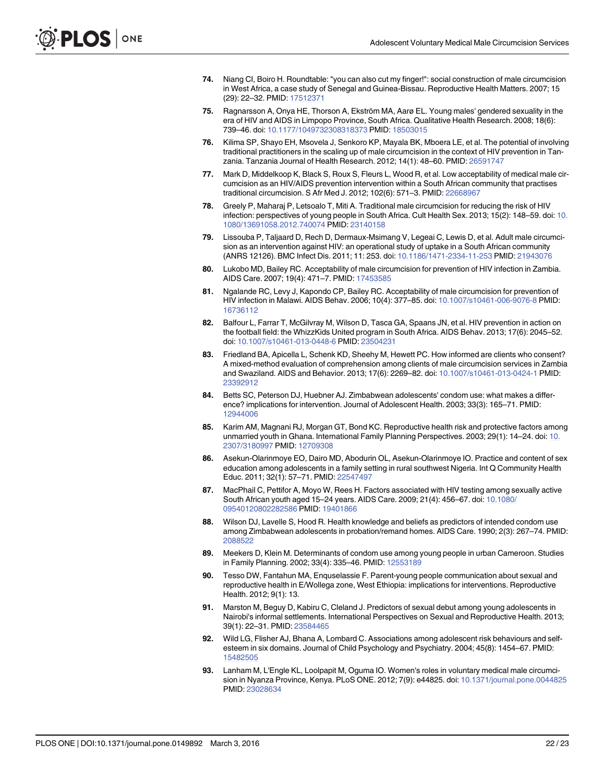- <span id="page-21-0"></span>[74.](#page-12-0) Niang CI, Boiro H. Roundtable: "you can also cut my finger!": social construction of male circumcision in West Africa, a case study of Senegal and Guinea-Bissau. Reproductive Health Matters. 2007; 15 (29): 22–32. PMID: [17512371](http://www.ncbi.nlm.nih.gov/pubmed/17512371)
- [75.](#page-12-0) Ragnarsson A, Onya HE, Thorson A, Ekström MA, Aarø EL. Young males' gendered sexuality in the era of HIV and AIDS in Limpopo Province, South Africa. Qualitative Health Research. 2008; 18(6): 739–46. doi: [10.1177/1049732308318373](http://dx.doi.org/10.1177/1049732308318373) PMID: [18503015](http://www.ncbi.nlm.nih.gov/pubmed/18503015)
- [76.](#page-12-0) Kilima SP, Shayo EH, Msovela J, Senkoro KP, Mayala BK, Mboera LE, et al. The potential of involving traditional practitioners in the scaling up of male circumcision in the context of HIV prevention in Tanzania. Tanzania Journal of Health Research. 2012; 14(1): 48–60. PMID: [26591747](http://www.ncbi.nlm.nih.gov/pubmed/26591747)
- [77.](#page-12-0) Mark D, Middelkoop K, Black S, Roux S, Fleurs L, Wood R, et al. Low acceptability of medical male circumcision as an HIV/AIDS prevention intervention within a South African community that practises traditional circumcision. S Afr Med J. 2012; 102(6): 571–3. PMID: [22668967](http://www.ncbi.nlm.nih.gov/pubmed/22668967)
- [78.](#page-12-0) Greely P, Maharaj P, Letsoalo T, Miti A. Traditional male circumcision for reducing the risk of HIV infection: perspectives of young people in South Africa. Cult Health Sex. 2013; 15(2): 148–59. doi: [10.](http://dx.doi.org/10.1080/13691058.2012.740074) [1080/13691058.2012.740074](http://dx.doi.org/10.1080/13691058.2012.740074) PMID: [23140158](http://www.ncbi.nlm.nih.gov/pubmed/23140158)
- 79. Lissouba P, Taljaard D, Rech D, Dermaux-Msimang V, Legeai C, Lewis D, et al. Adult male circumcision as an intervention against HIV: an operational study of uptake in a South African community (ANRS 12126). BMC Infect Dis. 2011; 11: 253. doi: [10.1186/1471-2334-11-253](http://dx.doi.org/10.1186/1471-2334-11-253) PMID: [21943076](http://www.ncbi.nlm.nih.gov/pubmed/21943076)
- [80.](#page-12-0) Lukobo MD, Bailey RC. Acceptability of male circumcision for prevention of HIV infection in Zambia. AIDS Care. 2007; 19(4): 471–7. PMID: [17453585](http://www.ncbi.nlm.nih.gov/pubmed/17453585)
- [81.](#page-12-0) Ngalande RC, Levy J, Kapondo CP, Bailey RC. Acceptability of male circumcision for prevention of HIV infection in Malawi. AIDS Behav. 2006; 10(4): 377–85. doi: [10.1007/s10461-006-9076-8](http://dx.doi.org/10.1007/s10461-006-9076-8) PMID: [16736112](http://www.ncbi.nlm.nih.gov/pubmed/16736112)
- 82. Balfour L, Farrar T, McGilvray M, Wilson D, Tasca GA, Spaans JN, et al. HIV prevention in action on the football field: the WhizzKids United program in South Africa. AIDS Behav. 2013; 17(6): 2045–52. doi: [10.1007/s10461-013-0448-6](http://dx.doi.org/10.1007/s10461-013-0448-6) PMID: [23504231](http://www.ncbi.nlm.nih.gov/pubmed/23504231)
- [83.](#page-12-0) Friedland BA, Apicella L, Schenk KD, Sheehy M, Hewett PC. How informed are clients who consent? A mixed-method evaluation of comprehension among clients of male circumcision services in Zambia and Swaziland. AIDS and Behavior. 2013; 17(6): 2269–82. doi: [10.1007/s10461-013-0424-1](http://dx.doi.org/10.1007/s10461-013-0424-1) PMID: [23392912](http://www.ncbi.nlm.nih.gov/pubmed/23392912)
- [84.](#page-12-0) Betts SC, Peterson DJ, Huebner AJ. Zimbabwean adolescents' condom use: what makes a difference? implications for intervention. Journal of Adolescent Health. 2003; 33(3): 165–71. PMID: [12944006](http://www.ncbi.nlm.nih.gov/pubmed/12944006)
- 85. Karim AM, Magnani RJ, Morgan GT, Bond KC. Reproductive health risk and protective factors among unmarried youth in Ghana. International Family Planning Perspectives. 2003; 29(1): 14–24. doi: [10.](http://dx.doi.org/10.2307/3180997) [2307/3180997](http://dx.doi.org/10.2307/3180997) PMID: [12709308](http://www.ncbi.nlm.nih.gov/pubmed/12709308)
- [86.](#page-12-0) Asekun-Olarinmoye EO, Dairo MD, Abodurin OL, Asekun-Olarinmoye IO. Practice and content of sex education among adolescents in a family setting in rural southwest Nigeria. Int Q Community Health Educ. 2011; 32(1): 57–71. PMID: [22547497](http://www.ncbi.nlm.nih.gov/pubmed/22547497)
- [87.](#page-12-0) MacPhail C, Pettifor A, Moyo W, Rees H. Factors associated with HIV testing among sexually active South African youth aged 15–24 years. AIDS Care. 2009; 21(4): 456–67. doi: [10.1080/](http://dx.doi.org/10.1080/09540120802282586) [09540120802282586](http://dx.doi.org/10.1080/09540120802282586) PMID: [19401866](http://www.ncbi.nlm.nih.gov/pubmed/19401866)
- [88.](#page-12-0) Wilson DJ, Lavelle S, Hood R. Health knowledge and beliefs as predictors of intended condom use among Zimbabwean adolescents in probation/remand homes. AIDS Care. 1990; 2(3): 267–74. PMID: [2088522](http://www.ncbi.nlm.nih.gov/pubmed/2088522)
- [89.](#page-12-0) Meekers D, Klein M. Determinants of condom use among young people in urban Cameroon. Studies in Family Planning. 2002; 33(4): 335–46. PMID: [12553189](http://www.ncbi.nlm.nih.gov/pubmed/12553189)
- [90.](#page-12-0) Tesso DW, Fantahun MA, Enquselassie F. Parent-young people communication about sexual and reproductive health in E/Wollega zone, West Ethiopia: implications for interventions. Reproductive Health. 2012; 9(1): 13.
- [91.](#page-13-0) Marston M, Beguy D, Kabiru C, Cleland J. Predictors of sexual debut among young adolescents in Nairobi's informal settlements. International Perspectives on Sexual and Reproductive Health. 2013; 39(1): 22–31. PMID: [23584465](http://www.ncbi.nlm.nih.gov/pubmed/23584465)
- [92.](#page-13-0) Wild LG, Flisher AJ, Bhana A, Lombard C. Associations among adolescent risk behaviours and selfesteem in six domains. Journal of Child Psychology and Psychiatry. 2004; 45(8): 1454–67. PMID: [15482505](http://www.ncbi.nlm.nih.gov/pubmed/15482505)
- [93.](#page-13-0) Lanham M, L'Engle KL, Loolpapit M, Oguma IO. Women's roles in voluntary medical male circumcision in Nyanza Province, Kenya. PLoS ONE. 2012; 7(9): e44825. doi: [10.1371/journal.pone.0044825](http://dx.doi.org/10.1371/journal.pone.0044825) PMID: [23028634](http://www.ncbi.nlm.nih.gov/pubmed/23028634)